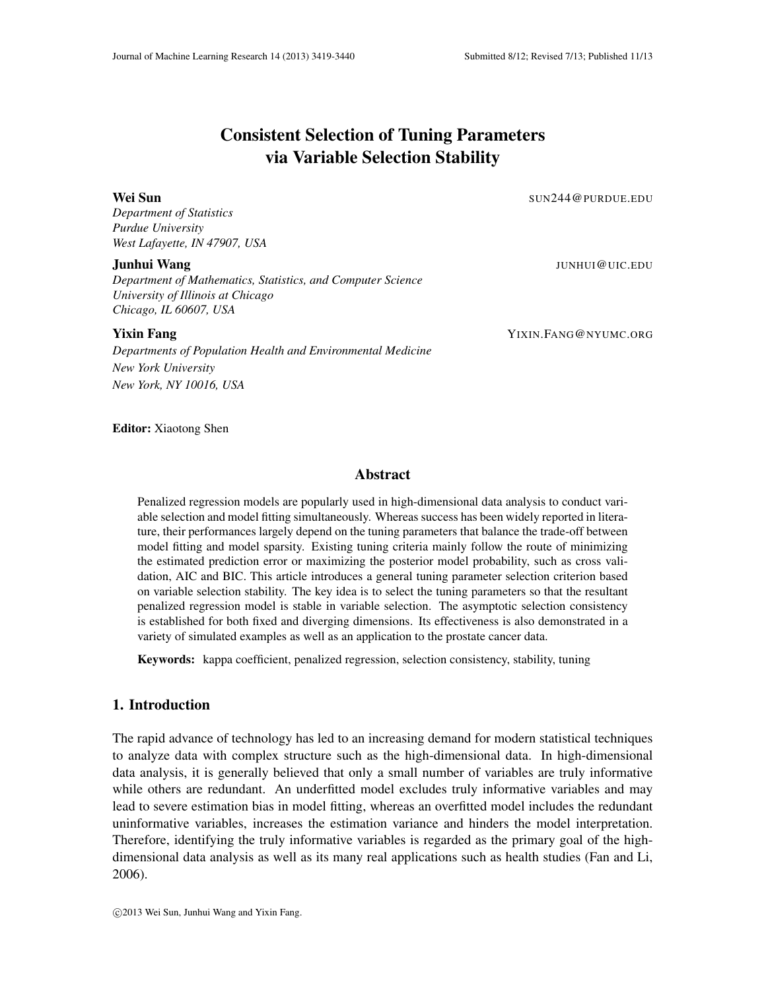*Department of Statistics*

*Department of Mathematics, Statistics, and Computer Science University of Illinois at Chicago Chicago, IL 60607, USA*

*Departments of Population Health and Environmental Medicine New York University New York, NY 10016, USA*

**Yixin Fang** YIXIN.FANG@NYUMC.ORG

Editor: Xiaotong Shen

## Abstract

Consistent Selection of Tuning Parameters via Variable Selection Stability

Wei Sun SUN244@PURDUE.EDU

Penalized regression models are popularly used in high-dimensional data analysis to conduct variable selection and model fitting simultaneously. Whereas success has been widely reported in literature, their performances largely depend on the tuning parameters that balance the trade-off between model fitting and model sparsity. Existing tuning criteria mainly follow the route of minimizing the estimated prediction error or maximizing the posterior model probability, such as cross validation, AIC and BIC. This article introduces a general tuning parameter selection criterion based on variable selection stability. The key idea is to select the tuning parameters so that the resultant penalized regression model is stable in variable selection. The asymptotic selection consistency is established for both fixed and diverging dimensions. Its effectiveness is also demonstrated in a variety of simulated examples as well as an application to the prostate cancer data.

Keywords: kappa coefficient, penalized regression, selection consistency, stability, tuning

# 1. Introduction

The rapid advance of technology has led to an increasing demand for modern statistical techniques to analyze data with complex structure such as the high-dimensional data. In high-dimensional data analysis, it is generally believed that only a small number of variables are truly informative while others are redundant. An underfitted model excludes truly informative variables and may lead to severe estimation bias in model fitting, whereas an overfitted model includes the redundant uninformative variables, increases the estimation variance and hinders the model interpretation. Therefore, identifying the truly informative variables is regarded as the primary goal of the highdimensional data analysis as well as its many real applications such as health studies (Fan and Li, 2006).

**Junhui Wang** Jun**hui Wang Junhui (1999), and the set of the set of the set of the set of the set of the set of t**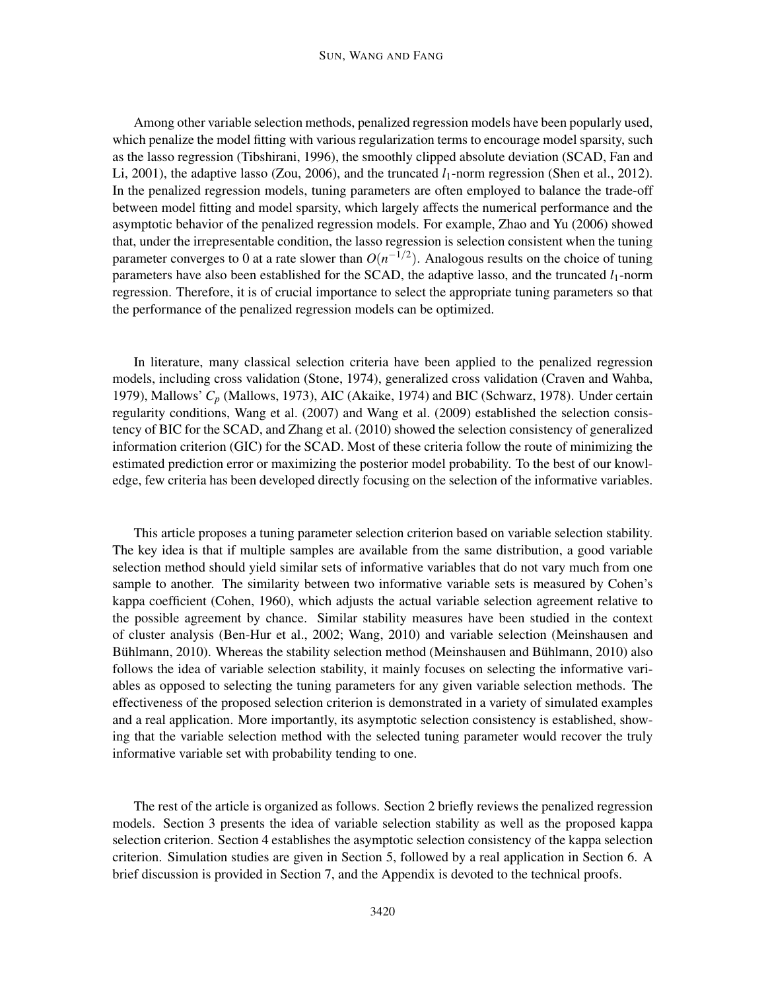Among other variable selection methods, penalized regression models have been popularly used, which penalize the model fitting with various regularization terms to encourage model sparsity, such as the lasso regression (Tibshirani, 1996), the smoothly clipped absolute deviation (SCAD, Fan and Li, 2001), the adaptive lasso (Zou, 2006), and the truncated  $l_1$ -norm regression (Shen et al., 2012). In the penalized regression models, tuning parameters are often employed to balance the trade-off between model fitting and model sparsity, which largely affects the numerical performance and the asymptotic behavior of the penalized regression models. For example, Zhao and Yu (2006) showed that, under the irrepresentable condition, the lasso regression is selection consistent when the tuning parameter converges to 0 at a rate slower than  $O(n^{-1/2})$ . Analogous results on the choice of tuning parameters have also been established for the SCAD, the adaptive lasso, and the truncated *l*1-norm regression. Therefore, it is of crucial importance to select the appropriate tuning parameters so that the performance of the penalized regression models can be optimized.

In literature, many classical selection criteria have been applied to the penalized regression models, including cross validation (Stone, 1974), generalized cross validation (Craven and Wahba, 1979), Mallows' *C<sup>p</sup>* (Mallows, 1973), AIC (Akaike, 1974) and BIC (Schwarz, 1978). Under certain regularity conditions, Wang et al. (2007) and Wang et al. (2009) established the selection consistency of BIC for the SCAD, and Zhang et al. (2010) showed the selection consistency of generalized information criterion (GIC) for the SCAD. Most of these criteria follow the route of minimizing the estimated prediction error or maximizing the posterior model probability. To the best of our knowledge, few criteria has been developed directly focusing on the selection of the informative variables.

This article proposes a tuning parameter selection criterion based on variable selection stability. The key idea is that if multiple samples are available from the same distribution, a good variable selection method should yield similar sets of informative variables that do not vary much from one sample to another. The similarity between two informative variable sets is measured by Cohen's kappa coefficient (Cohen, 1960), which adjusts the actual variable selection agreement relative to the possible agreement by chance. Similar stability measures have been studied in the context of cluster analysis (Ben-Hur et al., 2002; Wang, 2010) and variable selection (Meinshausen and Bühlmann, 2010). Whereas the stability selection method (Meinshausen and Bühlmann, 2010) also follows the idea of variable selection stability, it mainly focuses on selecting the informative variables as opposed to selecting the tuning parameters for any given variable selection methods. The effectiveness of the proposed selection criterion is demonstrated in a variety of simulated examples and a real application. More importantly, its asymptotic selection consistency is established, showing that the variable selection method with the selected tuning parameter would recover the truly informative variable set with probability tending to one.

The rest of the article is organized as follows. Section 2 briefly reviews the penalized regression models. Section 3 presents the idea of variable selection stability as well as the proposed kappa selection criterion. Section 4 establishes the asymptotic selection consistency of the kappa selection criterion. Simulation studies are given in Section 5, followed by a real application in Section 6. A brief discussion is provided in Section 7, and the Appendix is devoted to the technical proofs.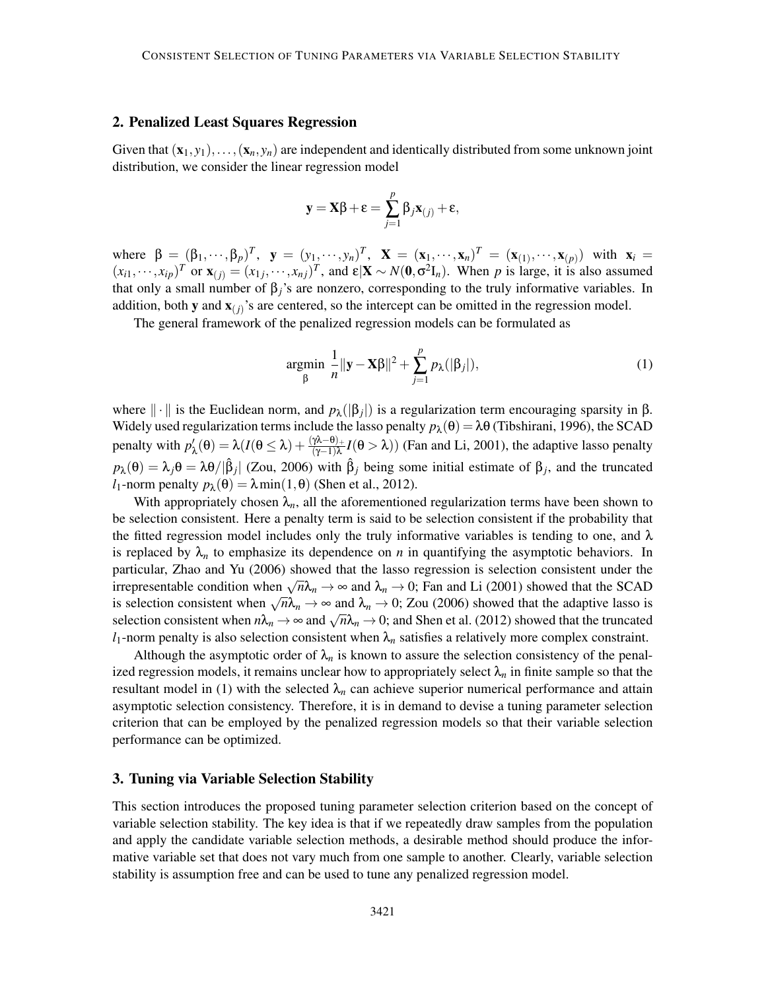### 2. Penalized Least Squares Regression

Given that  $(\mathbf{x}_1, y_1), \ldots, (\mathbf{x}_n, y_n)$  are independent and identically distributed from some unknown joint distribution, we consider the linear regression model

$$
\mathbf{y} = \mathbf{X}\boldsymbol{\beta} + \boldsymbol{\epsilon} = \sum_{j=1}^{p} \beta_j \mathbf{x}_{(j)} + \boldsymbol{\epsilon},
$$

where  $\beta = (\beta_1, \dots, \beta_p)^T$ ,  $\mathbf{y} = (y_1, \dots, y_n)^T$ ,  $\mathbf{X} = (\mathbf{x}_1, \dots, \mathbf{x}_n)^T = (\mathbf{x}_{(1)}, \dots, \mathbf{x}_{(p)})$  with  $\mathbf{x}_i =$  $(x_{i1}, \dots, x_{ip})^T$  or  $\mathbf{x}_{(j)} = (x_{1j}, \dots, x_{nj})^T$ , and  $\mathbf{\varepsilon} | \mathbf{X} \sim N(\mathbf{0}, \sigma^2 \mathbf{I}_n)$ . When *p* is large, it is also assumed that only a small number of  $\beta$ <sub>*j*</sub>'s are nonzero, corresponding to the truly informative variables. In addition, both **y** and  $\mathbf{x}_{(j)}$ 's are centered, so the intercept can be omitted in the regression model.

The general framework of the penalized regression models can be formulated as

$$
\underset{\beta}{\text{argmin}} \frac{1}{n} \|\mathbf{y} - \mathbf{X}\beta\|^2 + \sum_{j=1}^p p_\lambda(|\beta_j|),\tag{1}
$$

where  $\|\cdot\|$  is the Euclidean norm, and  $p_{\lambda}(|\beta_j|)$  is a regularization term encouraging sparsity in  $\beta$ . Widely used regularization terms include the lasso penalty  $p_{\lambda}(\theta) = \lambda \theta$  (Tibshirani, 1996), the SCAD penalty with  $p'_{\lambda}(\theta) = \lambda (I(\theta \le \lambda) + \frac{(\gamma \lambda - \theta)_{+}}{(\gamma - 1)\lambda} I(\theta > \lambda))$  (Fan and Li, 2001), the adaptive lasso penalty  $p_{\lambda}(\theta) = \lambda_j \theta = \lambda \theta / |\hat{\beta}_j|$  (Zou, 2006) with  $\hat{\beta}_j$  being some initial estimate of  $\beta_j$ , and the truncated *l*<sub>1</sub>-norm penalty  $p_{\lambda}(\theta) = \lambda \min(1, \theta)$  (Shen et al., 2012).

With appropriately chosen  $\lambda_n$ , all the aforementioned regularization terms have been shown to be selection consistent. Here a penalty term is said to be selection consistent if the probability that the fitted regression model includes only the truly informative variables is tending to one, and  $\lambda$ is replaced by  $\lambda_n$  to emphasize its dependence on *n* in quantifying the asymptotic behaviors. In particular, Zhao and Yu (2006) showed that the lasso regression is selection consistent under the irrepresentable condition when  $\sqrt{n}\lambda_n \to \infty$  and  $\lambda_n \to 0$ ; Fan and Li (2001) showed that the SCAD is selection consistent when  $\sqrt{n}\lambda_n \to \infty$  and  $\lambda_n \to 0$ ; Zou (2006) showed that the adaptive lasso is selection consistent when  $n\lambda_n \to \infty$  and  $\sqrt{n}\lambda_n \to 0$ ; and Shen et al. (2012) showed that the truncated  $l_1$ -norm penalty is also selection consistent when  $\lambda_n$  satisfies a relatively more complex constraint.

Although the asymptotic order of  $\lambda_n$  is known to assure the selection consistency of the penalized regression models, it remains unclear how to appropriately select  $\lambda_n$  in finite sample so that the resultant model in (1) with the selected  $\lambda_n$  can achieve superior numerical performance and attain asymptotic selection consistency. Therefore, it is in demand to devise a tuning parameter selection criterion that can be employed by the penalized regression models so that their variable selection performance can be optimized.

#### 3. Tuning via Variable Selection Stability

This section introduces the proposed tuning parameter selection criterion based on the concept of variable selection stability. The key idea is that if we repeatedly draw samples from the population and apply the candidate variable selection methods, a desirable method should produce the informative variable set that does not vary much from one sample to another. Clearly, variable selection stability is assumption free and can be used to tune any penalized regression model.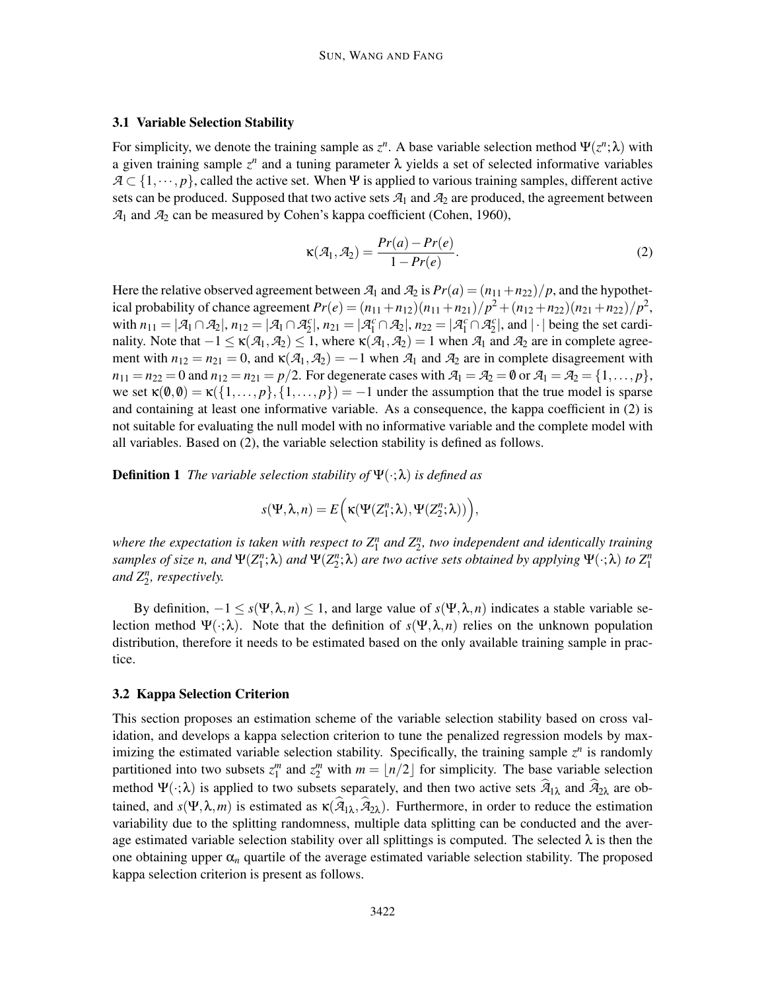## 3.1 Variable Selection Stability

For simplicity, we denote the training sample as  $z^n$ . A base variable selection method  $\Psi(z^n; \lambda)$  with a given training sample  $z^n$  and a tuning parameter  $\lambda$  yields a set of selected informative variables  $A \subset \{1, \dots, p\}$ , called the active set. When Ψ is applied to various training samples, different active sets can be produced. Supposed that two active sets  $A_1$  and  $A_2$  are produced, the agreement between *A*<sup>1</sup> and *A*<sup>2</sup> can be measured by Cohen's kappa coefficient (Cohen, 1960),

$$
\kappa(\mathcal{A}_1, \mathcal{A}_2) = \frac{Pr(a) - Pr(e)}{1 - Pr(e)}.
$$
\n(2)

Here the relative observed agreement between  $\mathcal{A}_1$  and  $\mathcal{A}_2$  is  $Pr(a) = (n_{11} + n_{22})/p$ , and the hypothetical probability of chance agreement  $Pr(e) = (n_{11} + n_{12})(n_{11} + n_{21})/p^2 + (n_{12} + n_{22})(n_{21} + n_{22})/p^2$ , with  $n_{11} = |\mathcal{A}_1 \cap \mathcal{A}_2|$ ,  $n_{12} = |\mathcal{A}_1 \cap \mathcal{A}_2^c|$ ,  $n_{21} = |\mathcal{A}_1^c \cap \mathcal{A}_2|$ ,  $n_{22} = |\mathcal{A}_1^c \cap \mathcal{A}_2^c|$ , and  $|\cdot|$  being the set cardinality. Note that  $-1 \le \kappa(\mathcal{A}_1, \mathcal{A}_2) \le 1$ , where  $\kappa(\mathcal{A}_1, \mathcal{A}_2) = 1$  when  $\mathcal{A}_1$  and  $\mathcal{A}_2$  are in complete agreement with  $n_{12} = n_{21} = 0$ , and  $\kappa(\mathcal{A}_1, \mathcal{A}_2) = -1$  when  $\mathcal{A}_1$  and  $\mathcal{A}_2$  are in complete disagreement with  $n_{11} = n_{22} = 0$  and  $n_{12} = n_{21} = p/2$ . For degenerate cases with  $\mathcal{A}_1 = \mathcal{A}_2 = \emptyset$  or  $\mathcal{A}_1 = \mathcal{A}_2 = \{1, ..., p\}$ , we set  $\kappa(\emptyset,\emptyset) = \kappa({1,\ldots,p},1,\ldots,p) = -1$  under the assumption that the true model is sparse and containing at least one informative variable. As a consequence, the kappa coefficient in (2) is not suitable for evaluating the null model with no informative variable and the complete model with all variables. Based on (2), the variable selection stability is defined as follows.

Definition 1 *The variable selection stability of* Ψ(·;λ) *is defined as*

$$
s(\Psi, \lambda, n) = E\Big(\kappa(\Psi(Z_1^n; \lambda), \Psi(Z_2^n; \lambda))\Big),
$$

where the expectation is taken with respect to  $Z_1^n$  and  $Z_2^n$ , two independent and identically training  $s$ *amples of size n, and*  $\Psi(Z_1^n; \lambda)$  *and*  $\Psi(Z_2^n; \lambda)$  *are two active sets obtained by applying*  $\Psi(\cdot; \lambda)$  *to*  $Z_1^n$ *and Z<sup>n</sup>* 2 *, respectively.*

By definition,  $-1 \leq s(\Psi, \lambda, n) \leq 1$ , and large value of  $s(\Psi, \lambda, n)$  indicates a stable variable selection method  $\Psi(\cdot;\lambda)$ . Note that the definition of  $s(\Psi,\lambda,n)$  relies on the unknown population distribution, therefore it needs to be estimated based on the only available training sample in practice.

## 3.2 Kappa Selection Criterion

This section proposes an estimation scheme of the variable selection stability based on cross validation, and develops a kappa selection criterion to tune the penalized regression models by maximizing the estimated variable selection stability. Specifically, the training sample  $z^n$  is randomly partitioned into two subsets  $z_1^m$  and  $z_2^m$  with  $m = \lfloor n/2 \rfloor$  for simplicity. The base variable selection method  $\Psi(\cdot;\lambda)$  is applied to two subsets separately, and then two active sets  $\hat{\mathcal{A}}_{1\lambda}$  and  $\hat{\mathcal{A}}_{2\lambda}$  are obtained, and  $s(\Psi, \lambda, m)$  is estimated as  $\kappa(\hat{\mathcal{A}}_{1\lambda}, \hat{\mathcal{A}}_{2\lambda})$ . Furthermore, in order to reduce the estimation variability due to the splitting randomness, multiple data splitting can be conducted and the average estimated variable selection stability over all splittings is computed. The selected  $\lambda$  is then the one obtaining upper  $\alpha_n$  quartile of the average estimated variable selection stability. The proposed kappa selection criterion is present as follows.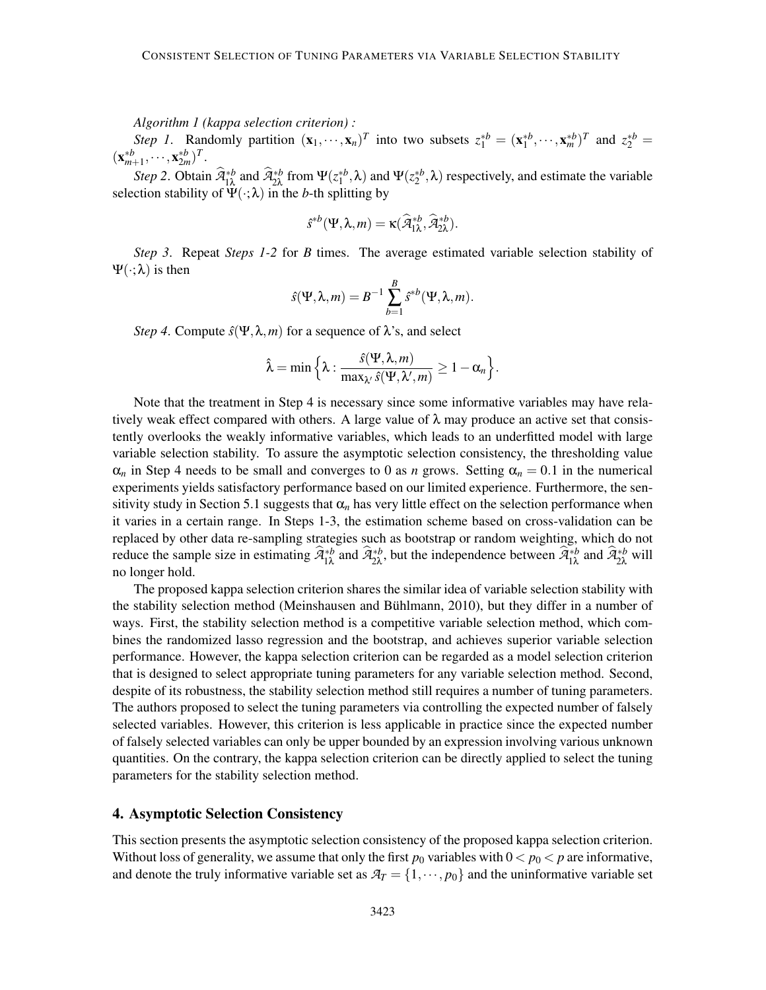*Algorithm 1 (kappa selection criterion) :*

*Step 1*. Randomly partition  $(\mathbf{x}_1, \dots, \mathbf{x}_n)^T$  into two subsets  $z_1^{*b} = (\mathbf{x}_1^{*b}, \dots, \mathbf{x}_m^{*b})^T$  and  $z_2^{*b} =$  $(\mathbf{x}_{m+1}^{*b}, \cdots, \mathbf{x}_{2m}^{*b})^T$ .

*Step 2*. Obtain  $\widehat{A}_{1\lambda}^{*b}$  and  $\widehat{A}_{2\lambda}^{*b}$  from  $\Psi(z_1^{*b},\lambda)$  and  $\Psi(z_2^{*b},\lambda)$  respectively, and estimate the variable selection stability of  $\Psi(\cdot;\lambda)$  in the *b*-th splitting by

$$
\hat{s}^{\ast b}(\Psi, \lambda, m) = \kappa(\widehat{\mathcal{A}}_{1\lambda}^{\ast b}, \widehat{\mathcal{A}}_{2\lambda}^{\ast b}).
$$

*Step 3*. Repeat *Steps 1-2* for *B* times. The average estimated variable selection stability of Ψ(·;λ) is then

$$
\hat{s}(\Psi,\lambda,m)=B^{-1}\sum_{b=1}^B\hat{s}^{*b}(\Psi,\lambda,m).
$$

*Step 4.* Compute  $\hat{s}(\Psi, \lambda, m)$  for a sequence of  $\lambda$ 's, and select

$$
\hat{\lambda} = \min \Big\{ \lambda : \frac{\hat{s}(\Psi, \lambda, m)}{\max_{\lambda'} \hat{s}(\Psi, \lambda', m)} \geq 1 - \alpha_n \Big\}.
$$

Note that the treatment in Step 4 is necessary since some informative variables may have relatively weak effect compared with others. A large value of  $\lambda$  may produce an active set that consistently overlooks the weakly informative variables, which leads to an underfitted model with large variable selection stability. To assure the asymptotic selection consistency, the thresholding value  $\alpha_n$  in Step 4 needs to be small and converges to 0 as *n* grows. Setting  $\alpha_n = 0.1$  in the numerical experiments yields satisfactory performance based on our limited experience. Furthermore, the sensitivity study in Section 5.1 suggests that  $\alpha_n$  has very little effect on the selection performance when it varies in a certain range. In Steps 1-3, the estimation scheme based on cross-validation can be replaced by other data re-sampling strategies such as bootstrap or random weighting, which do not reduce the sample size in estimating  $\hat{\mathcal{A}}_{1\lambda}^{*b}$  and  $\hat{\mathcal{A}}_{2\lambda}^{*b}$ , but the independence between  $\hat{\mathcal{A}}_{1\lambda}^{*b}$  and  $\hat{\mathcal{A}}_{2\lambda}^{*b}$  will no longer hold.

The proposed kappa selection criterion shares the similar idea of variable selection stability with the stability selection method (Meinshausen and Buhlmann, 2010), but they differ in a number of ¨ ways. First, the stability selection method is a competitive variable selection method, which combines the randomized lasso regression and the bootstrap, and achieves superior variable selection performance. However, the kappa selection criterion can be regarded as a model selection criterion that is designed to select appropriate tuning parameters for any variable selection method. Second, despite of its robustness, the stability selection method still requires a number of tuning parameters. The authors proposed to select the tuning parameters via controlling the expected number of falsely selected variables. However, this criterion is less applicable in practice since the expected number of falsely selected variables can only be upper bounded by an expression involving various unknown quantities. On the contrary, the kappa selection criterion can be directly applied to select the tuning parameters for the stability selection method.

## 4. Asymptotic Selection Consistency

This section presents the asymptotic selection consistency of the proposed kappa selection criterion. Without loss of generality, we assume that only the first  $p_0$  variables with  $0 < p_0 < p$  are informative, and denote the truly informative variable set as  $A_T = \{1, \dots, p_0\}$  and the uninformative variable set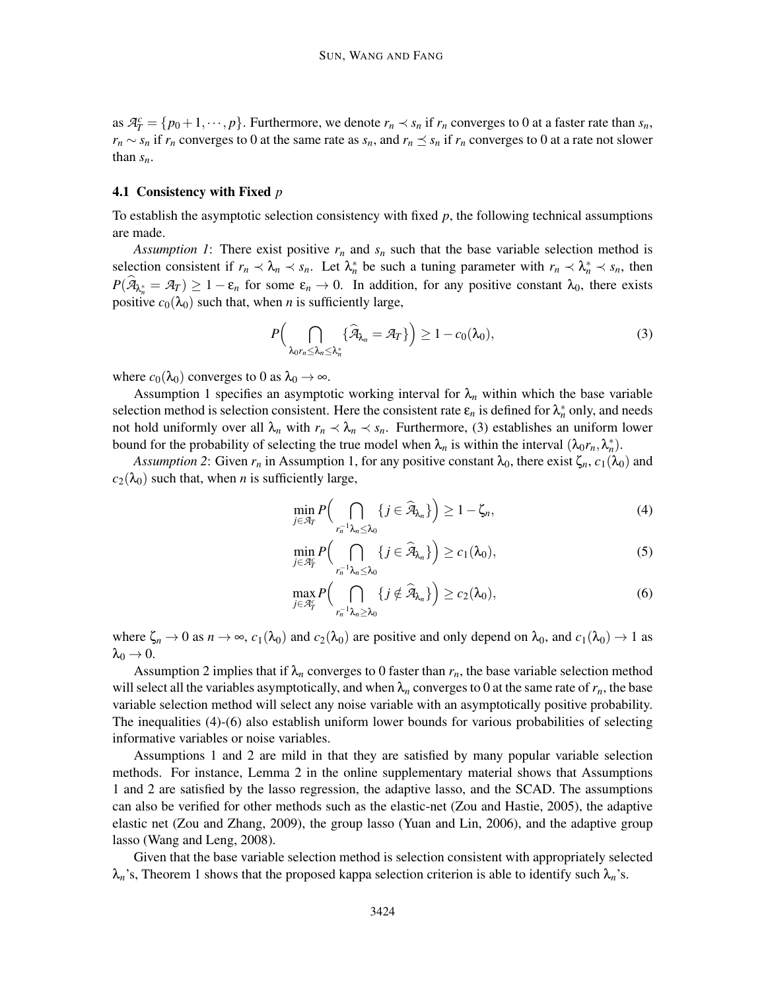as  $\mathcal{A}_T^c = \{p_0 + 1, \dots, p\}$ . Furthermore, we denote  $r_n \prec s_n$  if  $r_n$  converges to 0 at a faster rate than  $s_n$ ,  $r_n \sim s_n$  if  $r_n$  converges to 0 at the same rate as  $s_n$ , and  $r_n \leq s_n$  if  $r_n$  converges to 0 at a rate not slower than *sn*.

## 4.1 Consistency with Fixed *p*

To establish the asymptotic selection consistency with fixed *p*, the following technical assumptions are made.

*Assumption 1*: There exist positive  $r_n$  and  $s_n$  such that the base variable selection method is selection consistent if  $r_n \prec \lambda_n \prec s_n$ . Let  $\lambda_n^*$  be such a tuning parameter with  $r_n \prec \lambda_n^* \prec s_n$ , then  $P(\widehat{A}_{\lambda_n^*} = A_T) \ge 1 - \varepsilon_n$  for some  $\varepsilon_n \to 0$ . In addition, for any positive constant  $\lambda_0$ , there exists positive  $c_0(\lambda_0)$  such that, when *n* is sufficiently large,

$$
P\Big(\bigcap_{\lambda_0 r_n \leq \lambda_n \leq \lambda_n^*} \{\widehat{\mathcal{A}}_{\lambda_n} = \mathcal{A}_T\}\Big) \geq 1 - c_0(\lambda_0),\tag{3}
$$

where  $c_0(\lambda_0)$  converges to 0 as  $\lambda_0 \rightarrow \infty$ .

Assumption 1 specifies an asymptotic working interval for  $\lambda_n$  within which the base variable selection method is selection consistent. Here the consistent rate  $\varepsilon_n$  is defined for  $\lambda_n^*$  only, and needs not hold uniformly over all  $\lambda_n$  with  $r_n \prec \lambda_n \prec s_n$ . Furthermore, (3) establishes an uniform lower bound for the probability of selecting the true model when  $\lambda_n$  is within the interval  $(\lambda_0 r_n, \lambda_n^*)$ .

*Assumption 2*: Given  $r_n$  in Assumption 1, for any positive constant  $\lambda_0$ , there exist  $\zeta_n$ ,  $c_1(\lambda_0)$  and  $c_2(\lambda_0)$  such that, when *n* is sufficiently large,

$$
\min_{j\in\mathcal{A}_T} P\Big(\bigcap_{r_n^{-1}\lambda_n\leq\lambda_0} \{j\in\widehat{\mathcal{A}}_{\lambda_n}\}\Big) \geq 1-\zeta_n,
$$
\n(4)

$$
\min_{j\in\mathcal{A}_T^c} P\Big(\bigcap_{r_n^{-1}\lambda_n\leq\lambda_0} \{j\in\widehat{\mathcal{A}}_{\lambda_n}\}\Big) \geq c_1(\lambda_0),\tag{5}
$$

$$
\max_{j\in\mathcal{A}_T^c} P\Big(\bigcap_{r_n^{-1}\lambda_n\geq\lambda_0} \{j\notin\widehat{\mathcal{A}}_{\lambda_n}\}\Big) \geq c_2(\lambda_0),\tag{6}
$$

where  $\zeta_n \to 0$  as  $n \to \infty$ ,  $c_1(\lambda_0)$  and  $c_2(\lambda_0)$  are positive and only depend on  $\lambda_0$ , and  $c_1(\lambda_0) \to 1$  as  $\lambda_0 \rightarrow 0$ .

Assumption 2 implies that if  $\lambda_n$  converges to 0 faster than  $r_n$ , the base variable selection method will select all the variables asymptotically, and when  $\lambda_n$  converges to 0 at the same rate of  $r_n$ , the base variable selection method will select any noise variable with an asymptotically positive probability. The inequalities (4)-(6) also establish uniform lower bounds for various probabilities of selecting informative variables or noise variables.

Assumptions 1 and 2 are mild in that they are satisfied by many popular variable selection methods. For instance, Lemma 2 in the online supplementary material shows that Assumptions 1 and 2 are satisfied by the lasso regression, the adaptive lasso, and the SCAD. The assumptions can also be verified for other methods such as the elastic-net (Zou and Hastie, 2005), the adaptive elastic net (Zou and Zhang, 2009), the group lasso (Yuan and Lin, 2006), and the adaptive group lasso (Wang and Leng, 2008).

Given that the base variable selection method is selection consistent with appropriately selected  $\lambda_n$ 's, Theorem 1 shows that the proposed kappa selection criterion is able to identify such  $\lambda_n$ 's.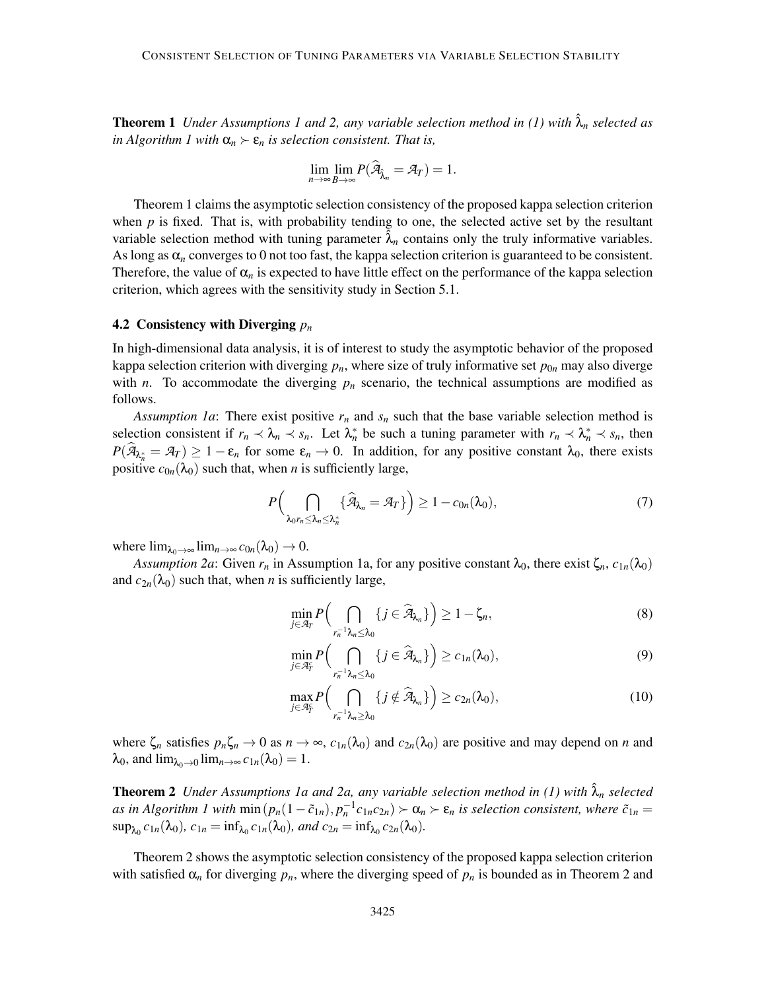**Theorem 1** *Under Assumptions 1 and 2, any variable selection method in (1) with*  $\hat{\lambda}_n$  *selected as in Algorithm 1 with*  $\alpha_n > \varepsilon_n$  *is selection consistent. That is,* 

$$
\lim_{n\to\infty}\lim_{B\to\infty}P(\widehat{\mathcal{A}}_{\widehat{\lambda}_n}=\mathcal{A}_T)=1.
$$

Theorem 1 claims the asymptotic selection consistency of the proposed kappa selection criterion when  $p$  is fixed. That is, with probability tending to one, the selected active set by the resultant variable selection method with tuning parameter  $\lambda_n$  contains only the truly informative variables. As long as  $\alpha_n$  converges to 0 not too fast, the kappa selection criterion is guaranteed to be consistent. Therefore, the value of  $\alpha_n$  is expected to have little effect on the performance of the kappa selection criterion, which agrees with the sensitivity study in Section 5.1.

## 4.2 Consistency with Diverging *p<sup>n</sup>*

In high-dimensional data analysis, it is of interest to study the asymptotic behavior of the proposed kappa selection criterion with diverging  $p_n$ , where size of truly informative set  $p_{0n}$  may also diverge with *n*. To accommodate the diverging  $p_n$  scenario, the technical assumptions are modified as follows.

*Assumption 1a*: There exist positive  $r_n$  and  $s_n$  such that the base variable selection method is selection consistent if  $r_n \prec \lambda_n \prec s_n$ . Let  $\lambda_n^*$  be such a tuning parameter with  $r_n \prec \lambda_n^* \prec s_n$ , then  $P(\hat{\mathcal{A}}_{\lambda_n^*} = \mathcal{A}_T) \ge 1 - \varepsilon_n$  for some  $\varepsilon_n \to 0$ . In addition, for any positive constant  $\lambda_0$ , there exists positive  $c_{0n}(\lambda_0)$  such that, when *n* is sufficiently large,

$$
P\Big(\bigcap_{\lambda_0 r_n \leq \lambda_n \leq \lambda_n^*} \{\widehat{\mathcal{A}}_{\lambda_n} = \mathcal{A}_T\}\Big) \geq 1 - c_{0n}(\lambda_0),\tag{7}
$$

where  $\lim_{\lambda_0 \to \infty} \lim_{n \to \infty} c_{0n}(\lambda_0) \to 0$ .

*Assumption 2a*: Given  $r_n$  in Assumption 1a, for any positive constant  $\lambda_0$ , there exist  $\zeta_n$ ,  $c_{1n}(\lambda_0)$ and  $c_{2n}(\lambda_0)$  such that, when *n* is sufficiently large,

$$
\min_{j\in\mathcal{A}_T} P\Big(\bigcap_{r_n^{-1}\lambda_n\leq\lambda_0} \{j\in\widehat{\mathcal{A}}_{\lambda_n}\}\Big) \geq 1-\zeta_n,
$$
\n(8)

$$
\min_{j\in\mathcal{A}_T^c} P\Big(\bigcap_{r_n^{-1}\lambda_n\leq\lambda_0} \{j\in\widehat{\mathcal{A}}_{\lambda_n}\}\Big) \geq c_{1n}(\lambda_0),\tag{9}
$$

$$
\max_{j\in\mathcal{A}_T^c} P\Big(\bigcap_{r_n^{-1}\lambda_n\geq\lambda_0} \{j\notin\widehat{\mathcal{A}}_{\lambda_n}\}\Big) \geq c_{2n}(\lambda_0),\tag{10}
$$

where  $\zeta_n$  satisfies  $p_n\zeta_n \to 0$  as  $n \to \infty$ ,  $c_{1n}(\lambda_0)$  and  $c_{2n}(\lambda_0)$  are positive and may depend on *n* and  $\lambda_0$ , and  $\lim_{\lambda_0 \to 0} \lim_{n \to \infty} c_{1n}(\lambda_0) = 1$ .

**Theorem 2** *Under Assumptions 1a and 2a, any variable selection method in (1) with*  $\hat{\lambda}_n$  *selected as in Algorithm 1 with*  $\min(p_n(1-\tilde{c}_{1n}), p_n^{-1}c_{1n}c_{2n}) \succ \alpha_n \succ \varepsilon_n$  *is selection consistent, where*  $\tilde{c}_{1n} =$  $\sup_{\lambda_0} c_{1n}(\lambda_0)$ *,*  $c_{1n} = \inf_{\lambda_0} c_{1n}(\lambda_0)$ *, and*  $c_{2n} = \inf_{\lambda_0} c_{2n}(\lambda_0)$ *.* 

Theorem 2 shows the asymptotic selection consistency of the proposed kappa selection criterion with satisfied  $\alpha_n$  for diverging  $p_n$ , where the diverging speed of  $p_n$  is bounded as in Theorem 2 and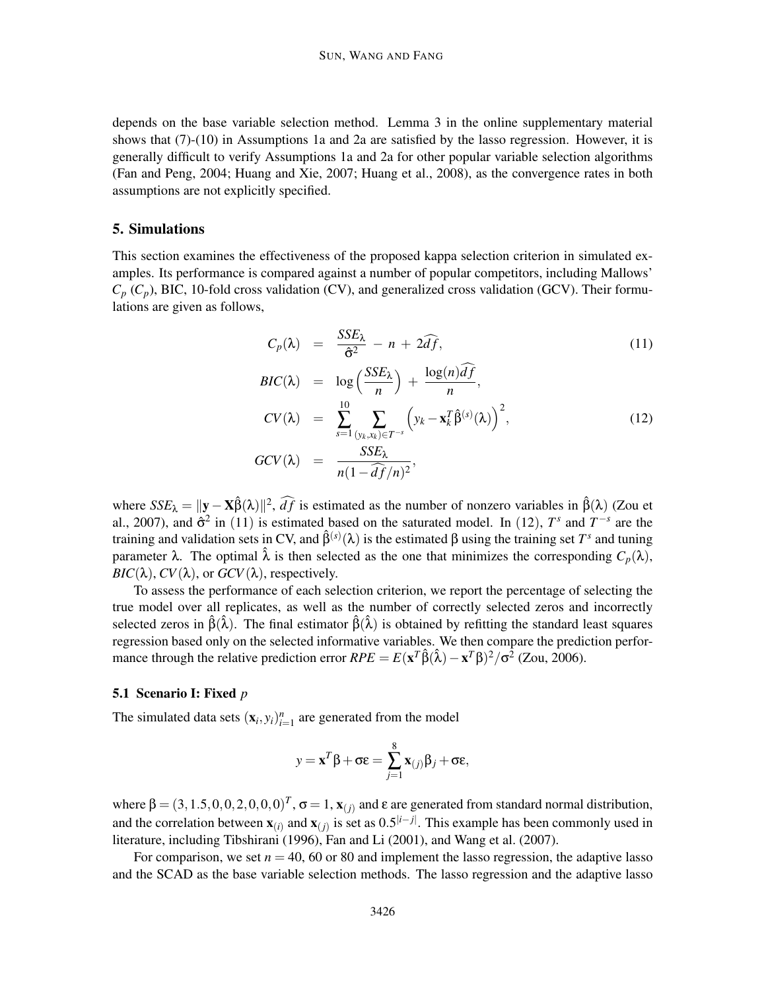depends on the base variable selection method. Lemma 3 in the online supplementary material shows that (7)-(10) in Assumptions 1a and 2a are satisfied by the lasso regression. However, it is generally difficult to verify Assumptions 1a and 2a for other popular variable selection algorithms (Fan and Peng, 2004; Huang and Xie, 2007; Huang et al., 2008), as the convergence rates in both assumptions are not explicitly specified.

## 5. Simulations

This section examines the effectiveness of the proposed kappa selection criterion in simulated examples. Its performance is compared against a number of popular competitors, including Mallows'  $C_p$  ( $C_p$ ), BIC, 10-fold cross validation (CV), and generalized cross validation (GCV). Their formulations are given as follows,

$$
C_p(\lambda) = \frac{SSE_{\lambda}}{\hat{\sigma}^2} - n + 2\widehat{df}, \qquad (11)
$$

$$
BIC(\lambda) = \log\left(\frac{SSE_{\lambda}}{n}\right) + \frac{\log(n)df}{n},
$$
  
\n
$$
CV(\lambda) = \sum_{s=1}^{10} \sum_{(y_k, x_k) \in T^{-s}} \left(y_k - \mathbf{x}_k^T \hat{\beta}^{(s)}(\lambda)\right)^2,
$$
  
\n
$$
GCV(\lambda) = \frac{SSE_{\lambda}}{n(1 - \widehat{df}/n)^2},
$$
\n(12)

where  $SSE_{\lambda} = ||\mathbf{y} - \mathbf{X}\hat{\beta}(\lambda)||^2$ ,  $\widehat{df}$  is estimated as the number of nonzero variables in  $\hat{\beta}(\lambda)$  (Zou et al., 2007), and  $\hat{\sigma}^2$  in (11) is estimated based on the saturated model. In (12),  $T^s$  and  $T^{-s}$  are the training and validation sets in CV, and  $\hat{\beta}^{(s)}(\lambda)$  is the estimated β using the training set  $T^s$  and tuning parameter λ. The optimal  $\hat{\lambda}$  is then selected as the one that minimizes the corresponding  $C_p(\lambda)$ , *BIC*( $\lambda$ ), *CV*( $\lambda$ ), or *GCV*( $\lambda$ ), respectively.

To assess the performance of each selection criterion, we report the percentage of selecting the true model over all replicates, as well as the number of correctly selected zeros and incorrectly selected zeros in  $\hat{\beta}(\hat{\lambda})$ . The final estimator  $\hat{\beta}(\hat{\lambda})$  is obtained by refitting the standard least squares regression based only on the selected informative variables. We then compare the prediction performance through the relative prediction error  $RPE = E(x^T \hat{\beta}(\hat{\lambda}) - x^T \beta)^2 / \sigma^2$  (Zou, 2006).

## 5.1 Scenario I: Fixed *p*

The simulated data sets  $(\mathbf{x}_i, y_i)_{i=1}^n$  are generated from the model

$$
y = \mathbf{x}^T \boldsymbol{\beta} + \sigma \boldsymbol{\varepsilon} = \sum_{j=1}^8 \mathbf{x}_{(j)} \boldsymbol{\beta}_j + \sigma \boldsymbol{\varepsilon},
$$

where  $\beta = (3, 1.5, 0, 0, 2, 0, 0, 0)^T$ ,  $\sigma = 1$ ,  $\mathbf{x}_{(j)}$  and  $\varepsilon$  are generated from standard normal distribution, and the correlation between  $\mathbf{x}_{(i)}$  and  $\mathbf{x}_{(j)}$  is set as  $0.5^{|i-j|}$ . This example has been commonly used in literature, including Tibshirani (1996), Fan and Li (2001), and Wang et al. (2007).

For comparison, we set  $n = 40$ , 60 or 80 and implement the lasso regression, the adaptive lasso and the SCAD as the base variable selection methods. The lasso regression and the adaptive lasso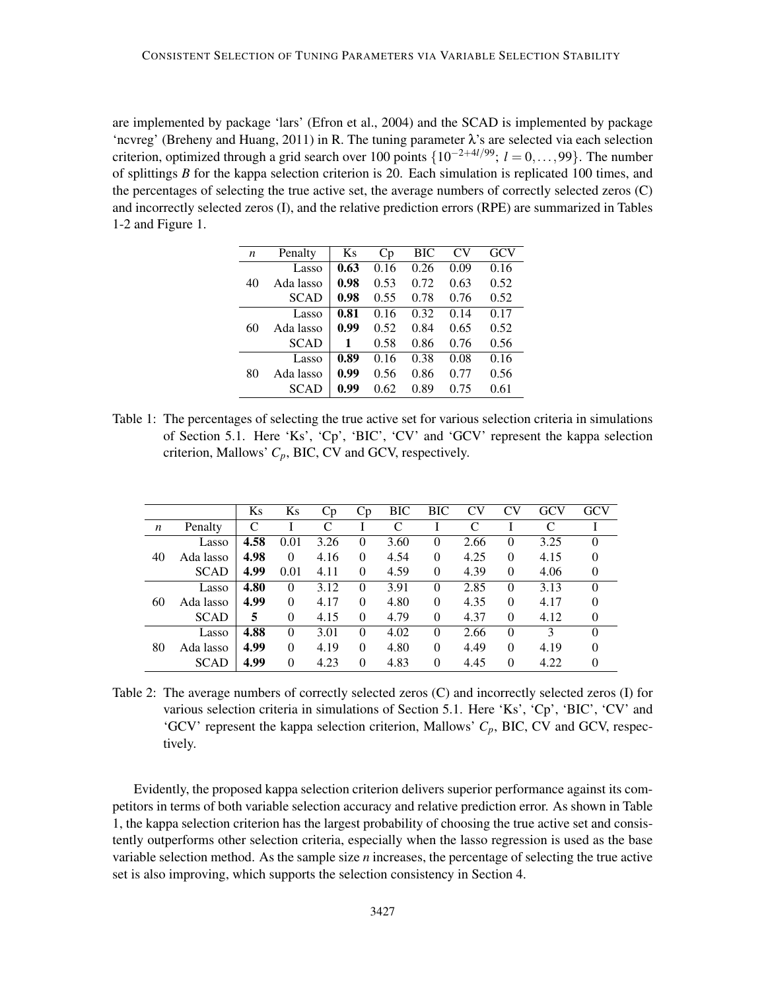are implemented by package 'lars' (Efron et al., 2004) and the SCAD is implemented by package 'ncvreg' (Breheny and Huang, 2011) in R. The tuning parameter  $\lambda$ 's are selected via each selection criterion, optimized through a grid search over 100 points {10−2+4*l*/99; *<sup>l</sup>* <sup>=</sup> <sup>0</sup>,...,99}. The number of splittings *B* for the kappa selection criterion is 20. Each simulation is replicated 100 times, and the percentages of selecting the true active set, the average numbers of correctly selected zeros (C) and incorrectly selected zeros (I), and the relative prediction errors (RPE) are summarized in Tables 1-2 and Figure 1.

| $\boldsymbol{n}$ | Penalty     | Ks   | Cp   | ВIС                          | CV   | <b>GCV</b> |  |
|------------------|-------------|------|------|------------------------------|------|------------|--|
|                  | Lasso       | 0.63 | 0.16 | 0.26                         | 0.09 | 0.16       |  |
| 40               | Ada lasso   | 0.98 | 0.53 | 0.72                         | 0.63 | 0.52       |  |
|                  | <b>SCAD</b> | 0.98 | 0.55 | 0.78                         | 0.76 | 0.52       |  |
|                  | Lasso       | 0.81 | 0.16 | 0.32                         | 0.14 | 0.17       |  |
| 60               | Ada lasso   | 0.99 | 0.52 | 0.84                         | 0.65 | 0.52       |  |
|                  | <b>SCAD</b> | 1    | 0.58 | 0.86<br>0.38<br>0.86<br>0.89 | 0.76 | 0.56       |  |
|                  | Lasso       | 0.89 | 0.16 |                              | 0.08 | 0.16       |  |
| 80               | Ada lasso   | 0.99 | 0.56 |                              | 0.77 | 0.56       |  |
|                  | <b>SCAD</b> | 0.99 | 0.62 |                              | 0.75 | 0.61       |  |

Table 1: The percentages of selecting the true active set for various selection criteria in simulations of Section 5.1. Here 'Ks', 'Cp', 'BIC', 'CV' and 'GCV' represent the kappa selection criterion, Mallows' *Cp*, BIC, CV and GCV, respectively.

|    |             | Ks   | Ks       | Cр   | Cр       | <b>BIC</b> | <b>BIC</b> | <b>CV</b> | CV       | GCV  | GCV      |
|----|-------------|------|----------|------|----------|------------|------------|-----------|----------|------|----------|
| n  | Penalty     | C    |          |      |          | C          |            | C         |          | C    |          |
|    | Lasso       | 4.58 | 0.01     | 3.26 | $\Omega$ | 3.60       | $\Omega$   | 2.66      | $\Omega$ | 3.25 | $\theta$ |
| 40 | Ada lasso   | 4.98 | $\theta$ | 4.16 | $\Omega$ | 4.54       | $\theta$   | 4.25      | $\Omega$ | 4.15 | $\Omega$ |
|    | <b>SCAD</b> | 4.99 | 0.01     | 4.11 | $\theta$ | 4.59       | 0          | 4.39      | $\Omega$ | 4.06 |          |
|    | Lasso       | 4.80 | $\Omega$ | 3.12 | $\Omega$ | 3.91       | 0          | 2.85      | $\Omega$ | 3.13 | $\Omega$ |
| 60 | Ada lasso   | 4.99 | $\Omega$ | 4.17 | $\Omega$ | 4.80       | $\theta$   | 4.35      | $\Omega$ | 4.17 | 0        |
|    | <b>SCAD</b> | 5    | $\Omega$ | 4.15 | $\theta$ | 4.79       | 0          | 4.37      | $\Omega$ | 4.12 | $\theta$ |
|    | Lasso       | 4.88 | $\theta$ | 3.01 | $\Omega$ | 4.02       | $\theta$   | 2.66      | $\Omega$ | 3    | $\theta$ |
| 80 | Ada lasso   | 4.99 | $\Omega$ | 4.19 | $\Omega$ | 4.80       | $\theta$   | 4.49      | $\Omega$ | 4.19 | 0        |
|    | <b>SCAD</b> | 4.99 | $\Omega$ | 4.23 | $\theta$ | 4.83       | 0          | 4.45      | $\Omega$ | 4.22 | 0        |

Table 2: The average numbers of correctly selected zeros (C) and incorrectly selected zeros (I) for various selection criteria in simulations of Section 5.1. Here 'Ks', 'Cp', 'BIC', 'CV' and 'GCV' represent the kappa selection criterion, Mallows'  $C_p$ , BIC, CV and GCV, respectively.

Evidently, the proposed kappa selection criterion delivers superior performance against its competitors in terms of both variable selection accuracy and relative prediction error. As shown in Table 1, the kappa selection criterion has the largest probability of choosing the true active set and consistently outperforms other selection criteria, especially when the lasso regression is used as the base variable selection method. As the sample size *n* increases, the percentage of selecting the true active set is also improving, which supports the selection consistency in Section 4.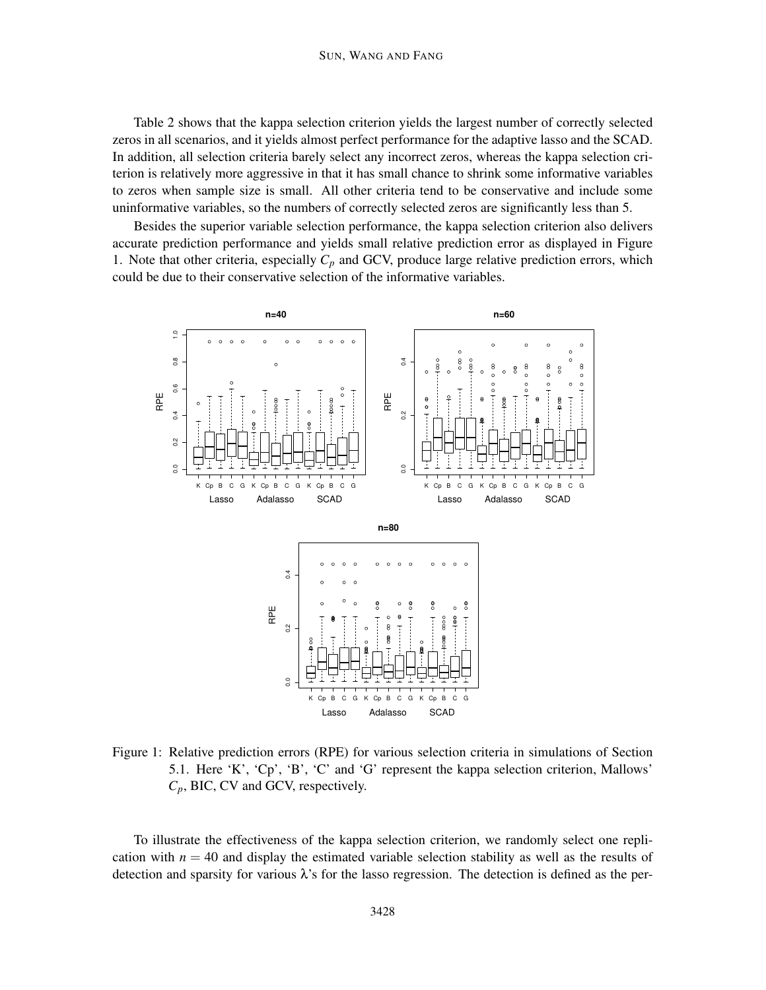#### SUN, WANG AND FANG

Table 2 shows that the kappa selection criterion yields the largest number of correctly selected zeros in all scenarios, and it yields almost perfect performance for the adaptive lasso and the SCAD. In addition, all selection criteria barely select any incorrect zeros, whereas the kappa selection criterion is relatively more aggressive in that it has small chance to shrink some informative variables to zeros when sample size is small. All other criteria tend to be conservative and include some uninformative variables, so the numbers of correctly selected zeros are significantly less than 5.

Besides the superior variable selection performance, the kappa selection criterion also delivers accurate prediction performance and yields small relative prediction error as displayed in Figure 1. Note that other criteria, especially  $C_p$  and GCV, produce large relative prediction errors, which could be due to their conservative selection of the informative variables.



Figure 1: Relative prediction errors (RPE) for various selection criteria in simulations of Section 5.1. Here 'K', 'Cp', 'B', 'C' and 'G' represent the kappa selection criterion, Mallows' *Cp*, BIC, CV and GCV, respectively.

To illustrate the effectiveness of the kappa selection criterion, we randomly select one replication with  $n = 40$  and display the estimated variable selection stability as well as the results of detection and sparsity for various  $\lambda$ 's for the lasso regression. The detection is defined as the per-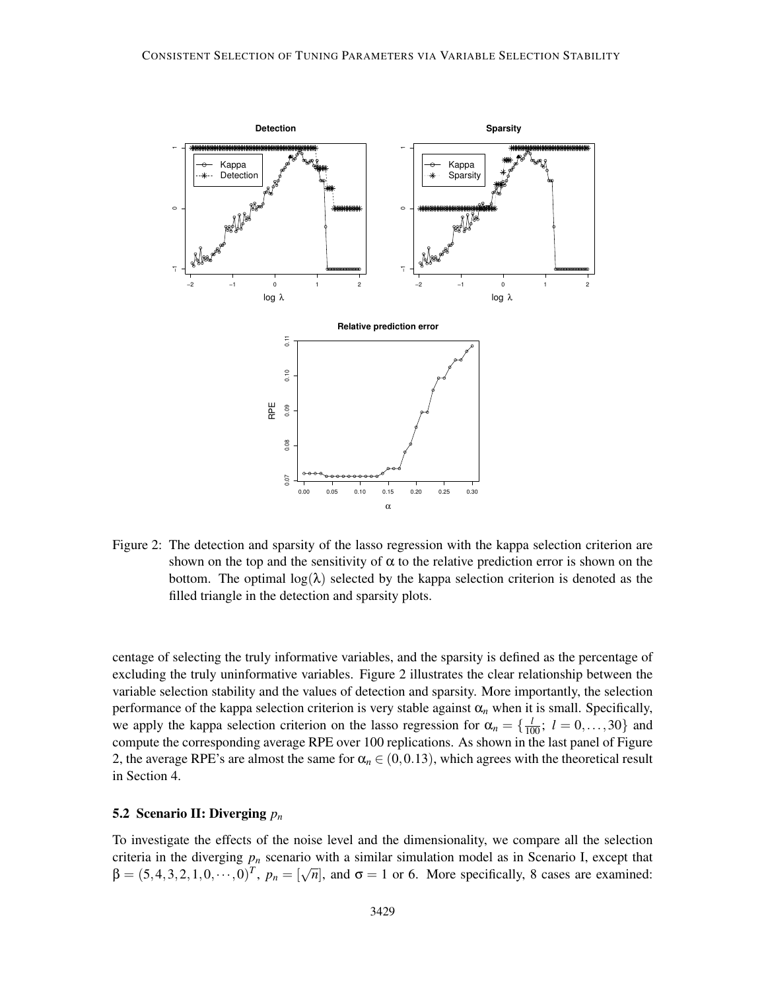

Figure 2: The detection and sparsity of the lasso regression with the kappa selection criterion are shown on the top and the sensitivity of  $\alpha$  to the relative prediction error is shown on the bottom. The optimal  $log(\lambda)$  selected by the kappa selection criterion is denoted as the filled triangle in the detection and sparsity plots.

centage of selecting the truly informative variables, and the sparsity is defined as the percentage of excluding the truly uninformative variables. Figure 2 illustrates the clear relationship between the variable selection stability and the values of detection and sparsity. More importantly, the selection performance of the kappa selection criterion is very stable against  $\alpha_n$  when it is small. Specifically, we apply the kappa selection criterion on the lasso regression for  $\alpha_n = \{\frac{l}{100}; l = 0, \ldots, 30\}$  and compute the corresponding average RPE over 100 replications. As shown in the last panel of Figure 2, the average RPE's are almost the same for  $\alpha_n \in (0,0.13)$ , which agrees with the theoretical result in Section 4.

## 5.2 Scenario II: Diverging *p<sup>n</sup>*

To investigate the effects of the noise level and the dimensionality, we compare all the selection criteria in the diverging  $p_n$  scenario with a similar simulation model as in Scenario I, except that  $\beta = (5, 4, 3, 2, 1, 0, \cdots, 0)^T$ ,  $p_n = [\sqrt{n}]$ , and  $\sigma = 1$  or 6. More specifically, 8 cases are examined: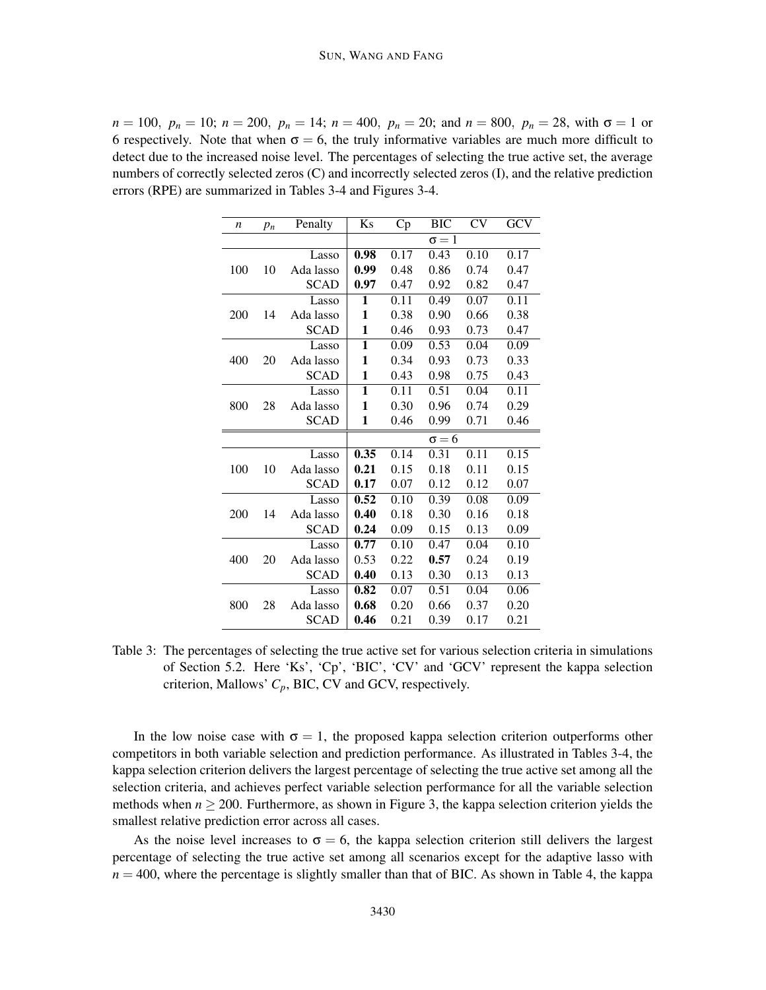$n = 100$ ,  $p_n = 10$ ;  $n = 200$ ,  $p_n = 14$ ;  $n = 400$ ,  $p_n = 20$ ; and  $n = 800$ ,  $p_n = 28$ , with  $\sigma = 1$  or 6 respectively. Note that when  $\sigma = 6$ , the truly informative variables are much more difficult to detect due to the increased noise level. The percentages of selecting the true active set, the average numbers of correctly selected zeros (C) and incorrectly selected zeros (I), and the relative prediction errors (RPE) are summarized in Tables 3-4 and Figures 3-4.

| n   | $p_n$ | Penalty     | Ks   | Cp   | <b>BIC</b>   | <b>CV</b> | GCV  |
|-----|-------|-------------|------|------|--------------|-----------|------|
|     |       |             |      |      | $\sigma = 1$ |           |      |
|     |       | Lasso       | 0.98 | 0.17 | 0.43         | 0.10      | 0.17 |
| 100 | 10    | Ada lasso   | 0.99 | 0.48 | 0.86         | 0.74      | 0.47 |
|     |       | <b>SCAD</b> | 0.97 | 0.47 | 0.92         | 0.82      | 0.47 |
|     |       | Lasso       | 1    | 0.11 | 0.49         | 0.07      | 0.11 |
| 200 | 14    | Ada lasso   | 1    | 0.38 | 0.90         | 0.66      | 0.38 |
|     |       | <b>SCAD</b> | 1    | 0.46 | 0.93         | 0.73      | 0.47 |
|     |       | Lasso       | 1    | 0.09 | 0.53         | 0.04      | 0.09 |
| 400 | 20    | Ada lasso   | 1    | 0.34 | 0.93         | 0.73      | 0.33 |
|     |       | <b>SCAD</b> | 1    | 0.43 | 0.98         | 0.75      | 0.43 |
|     |       | Lasso       | 1    | 0.11 | 0.51         | 0.04      | 0.11 |
| 800 | 28    | Ada lasso   | 1    | 0.30 | 0.96         | 0.74      | 0.29 |
|     |       | <b>SCAD</b> | 1    | 0.46 | 0.99         | 0.71      | 0.46 |
|     |       |             |      |      | $\sigma = 6$ |           |      |
|     |       | Lasso       | 0.35 | 0.14 | 0.31         | 0.11      | 0.15 |
| 100 | 10    | Ada lasso   | 0.21 | 0.15 | 0.18         | 0.11      | 0.15 |
|     |       | <b>SCAD</b> | 0.17 | 0.07 | 0.12         | 0.12      | 0.07 |
|     |       | Lasso       | 0.52 | 0.10 | 0.39         | 0.08      | 0.09 |
| 200 | 14    | Ada lasso   | 0.40 | 0.18 | 0.30         | 0.16      | 0.18 |
|     |       | <b>SCAD</b> | 0.24 | 0.09 | 0.15         | 0.13      | 0.09 |
|     |       | Lasso       | 0.77 | 0.10 | 0.47         | 0.04      | 0.10 |
| 400 | 20    | Ada lasso   | 0.53 | 0.22 | 0.57         | 0.24      | 0.19 |
|     |       | <b>SCAD</b> | 0.40 | 0.13 | 0.30         | 0.13      | 0.13 |
|     |       | Lasso       | 0.82 | 0.07 | 0.51         | 0.04      | 0.06 |
| 800 | 28    | Ada lasso   | 0.68 | 0.20 | 0.66         | 0.37      | 0.20 |
|     |       | <b>SCAD</b> | 0.46 | 0.21 | 0.39         | 0.17      | 0.21 |

Table 3: The percentages of selecting the true active set for various selection criteria in simulations of Section 5.2. Here 'Ks', 'Cp', 'BIC', 'CV' and 'GCV' represent the kappa selection criterion, Mallows' *Cp*, BIC, CV and GCV, respectively.

In the low noise case with  $\sigma = 1$ , the proposed kappa selection criterion outperforms other competitors in both variable selection and prediction performance. As illustrated in Tables 3-4, the kappa selection criterion delivers the largest percentage of selecting the true active set among all the selection criteria, and achieves perfect variable selection performance for all the variable selection methods when  $n \geq 200$ . Furthermore, as shown in Figure 3, the kappa selection criterion yields the smallest relative prediction error across all cases.

As the noise level increases to  $\sigma = 6$ , the kappa selection criterion still delivers the largest percentage of selecting the true active set among all scenarios except for the adaptive lasso with  $n = 400$ , where the percentage is slightly smaller than that of BIC. As shown in Table 4, the kappa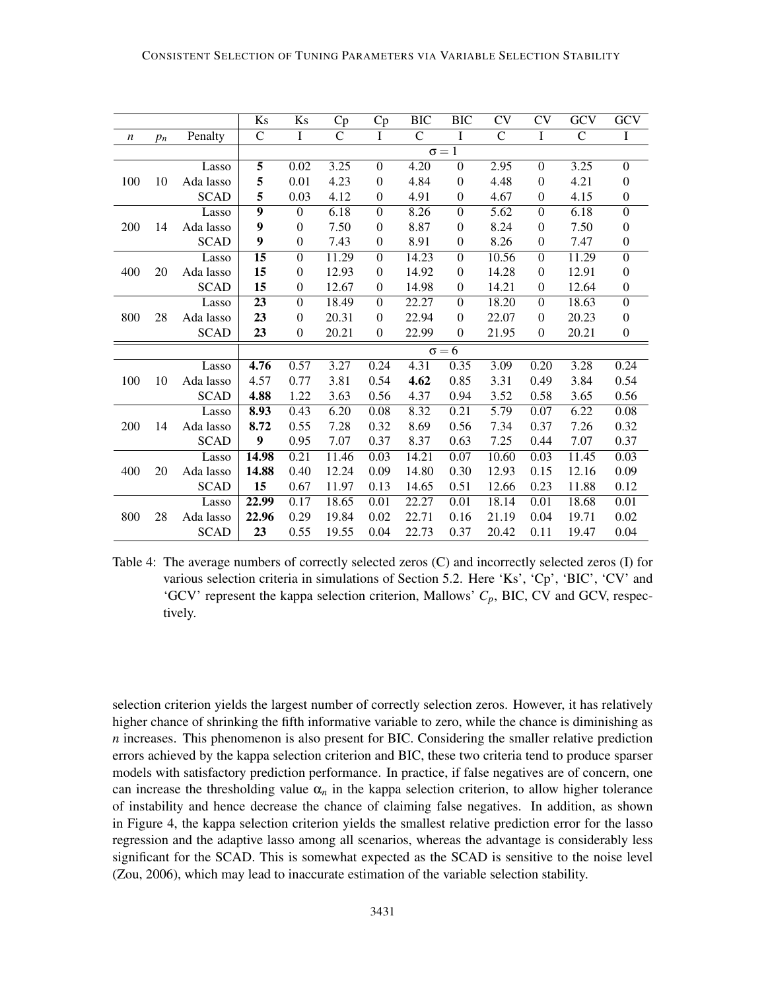|                  |       |             | Ks               | Ks               | Cp           | Cp               | <b>BIC</b>   | <b>BIC</b>       | $\overline{\text{CV}}$ | $\overline{\rm CV}$ | $\overline{GCV}$ | $\overline{GCV}$ |
|------------------|-------|-------------|------------------|------------------|--------------|------------------|--------------|------------------|------------------------|---------------------|------------------|------------------|
| $\boldsymbol{n}$ | $p_n$ | Penalty     | $\mathsf{C}$     | $\mathbf I$      | $\mathsf{C}$ | I                | $\mathsf{C}$ | I                | $\mathsf{C}$           | I                   | $\mathsf{C}$     | Ι                |
|                  |       |             | $\sigma = 1$     |                  |              |                  |              |                  |                        |                     |                  |                  |
|                  |       | Lasso       | 5                | 0.02             | 3.25         | $\Omega$         | 4.20         | $\boldsymbol{0}$ | 2.95                   | $\Omega$            | 3.25             | $\boldsymbol{0}$ |
| 100              | 10    | Ada lasso   | 5                | 0.01             | 4.23         | $\mathbf{0}$     | 4.84         | $\mathbf{0}$     | 4.48                   | $\mathbf{0}$        | 4.21             | $\boldsymbol{0}$ |
|                  |       | <b>SCAD</b> | 5                | 0.03             | 4.12         | $\boldsymbol{0}$ | 4.91         | $\boldsymbol{0}$ | 4.67                   | $\boldsymbol{0}$    | 4.15             | $\boldsymbol{0}$ |
|                  |       | Lasso       | 9                | $\boldsymbol{0}$ | 6.18         | $\Omega$         | 8.26         | $\Omega$         | 5.62                   | $\boldsymbol{0}$    | 6.18             | $\boldsymbol{0}$ |
| 200              | 14    | Ada lasso   | 9                | $\boldsymbol{0}$ | 7.50         | $\Omega$         | 8.87         | $\boldsymbol{0}$ | 8.24                   | $\boldsymbol{0}$    | 7.50             | $\boldsymbol{0}$ |
|                  |       | <b>SCAD</b> | 9                | $\boldsymbol{0}$ | 7.43         | $\boldsymbol{0}$ | 8.91         | $\boldsymbol{0}$ | 8.26                   | $\boldsymbol{0}$    | 7.47             | $\boldsymbol{0}$ |
|                  |       | Lasso       | $\overline{15}$  | $\boldsymbol{0}$ | 11.29        | $\Omega$         | 14.23        | $\Omega$         | 10.56                  | $\Omega$            | 11.29            | $\overline{0}$   |
| 400              | 20    | Ada lasso   | 15               | $\boldsymbol{0}$ | 12.93        | $\Omega$         | 14.92        | $\boldsymbol{0}$ | 14.28                  | $\boldsymbol{0}$    | 12.91            | $\boldsymbol{0}$ |
|                  |       | <b>SCAD</b> | 15               | $\boldsymbol{0}$ | 12.67        | $\boldsymbol{0}$ | 14.98        | $\boldsymbol{0}$ | 14.21                  | $\boldsymbol{0}$    | 12.64            | $\boldsymbol{0}$ |
|                  |       | Lasso       | 23               | $\overline{0}$   | 18.49        | $\Omega$         | 22.27        | $\Omega$         | 18.20                  | $\Omega$            | 18.63            | $\overline{0}$   |
| 800              | 28    | Ada lasso   | 23               | $\boldsymbol{0}$ | 20.31        | $\Omega$         | 22.94        | $\boldsymbol{0}$ | 22.07                  | $\boldsymbol{0}$    | 20.23            | $\boldsymbol{0}$ |
|                  |       | <b>SCAD</b> | 23               | $\boldsymbol{0}$ | 20.21        | $\theta$         | 22.99        | $\boldsymbol{0}$ | 21.95                  | $\boldsymbol{0}$    | 20.21            | $\boldsymbol{0}$ |
|                  |       |             |                  | $\sigma = 6$     |              |                  |              |                  |                        |                     |                  |                  |
|                  |       | Lasso       | 4.76             | 0.57             | 3.27         | 0.24             | 4.31         | 0.35             | 3.09                   | 0.20                | 3.28             | 0.24             |
| 100              | 10    | Ada lasso   | 4.57             | 0.77             | 3.81         | 0.54             | 4.62         | 0.85             | 3.31                   | 0.49                | 3.84             | 0.54             |
|                  |       | <b>SCAD</b> | 4.88             | 1.22             | 3.63         | 0.56             | 4.37         | 0.94             | 3.52                   | 0.58                | 3.65             | 0.56             |
|                  |       | Lasso       | 8.93             | 0.43             | 6.20         | 0.08             | 8.32         | 0.21             | 5.79                   | 0.07                | 6.22             | 0.08             |
| 200              | 14    | Ada lasso   | 8.72             | 0.55             | 7.28         | 0.32             | 8.69         | 0.56             | 7.34                   | 0.37                | 7.26             | 0.32             |
|                  |       | <b>SCAD</b> | $\boldsymbol{9}$ | 0.95             | 7.07         | 0.37             | 8.37         | 0.63             | 7.25                   | 0.44                | 7.07             | 0.37             |
|                  |       | Lasso       | 14.98            | 0.21             | 11.46        | 0.03             | 14.21        | 0.07             | 10.60                  | 0.03                | 11.45            | 0.03             |
| 400              | 20    | Ada lasso   | 14.88            | 0.40             | 12.24        | 0.09             | 14.80        | 0.30             | 12.93                  | 0.15                | 12.16            | 0.09             |
|                  |       | <b>SCAD</b> | 15               | 0.67             | 11.97        | 0.13             | 14.65        | 0.51             | 12.66                  | 0.23                | 11.88            | 0.12             |
|                  |       | Lasso       | 22.99            | 0.17             | 18.65        | 0.01             | 22.27        | 0.01             | 18.14                  | $\overline{0.01}$   | 18.68            | 0.01             |
| 800              | 28    | Ada lasso   | 22.96            | 0.29             | 19.84        | 0.02             | 22.71        | 0.16             | 21.19                  | 0.04                | 19.71            | 0.02             |
|                  |       | <b>SCAD</b> | 23               | 0.55             | 19.55        | 0.04             | 22.73        | 0.37             | 20.42                  | 0.11                | 19.47            | 0.04             |

Table 4: The average numbers of correctly selected zeros (C) and incorrectly selected zeros (I) for various selection criteria in simulations of Section 5.2. Here 'Ks', 'Cp', 'BIC', 'CV' and 'GCV' represent the kappa selection criterion, Mallows'  $C_p$ , BIC, CV and GCV, respectively.

selection criterion yields the largest number of correctly selection zeros. However, it has relatively higher chance of shrinking the fifth informative variable to zero, while the chance is diminishing as *n* increases. This phenomenon is also present for BIC. Considering the smaller relative prediction errors achieved by the kappa selection criterion and BIC, these two criteria tend to produce sparser models with satisfactory prediction performance. In practice, if false negatives are of concern, one can increase the thresholding value  $\alpha_n$  in the kappa selection criterion, to allow higher tolerance of instability and hence decrease the chance of claiming false negatives. In addition, as shown in Figure 4, the kappa selection criterion yields the smallest relative prediction error for the lasso regression and the adaptive lasso among all scenarios, whereas the advantage is considerably less significant for the SCAD. This is somewhat expected as the SCAD is sensitive to the noise level (Zou, 2006), which may lead to inaccurate estimation of the variable selection stability.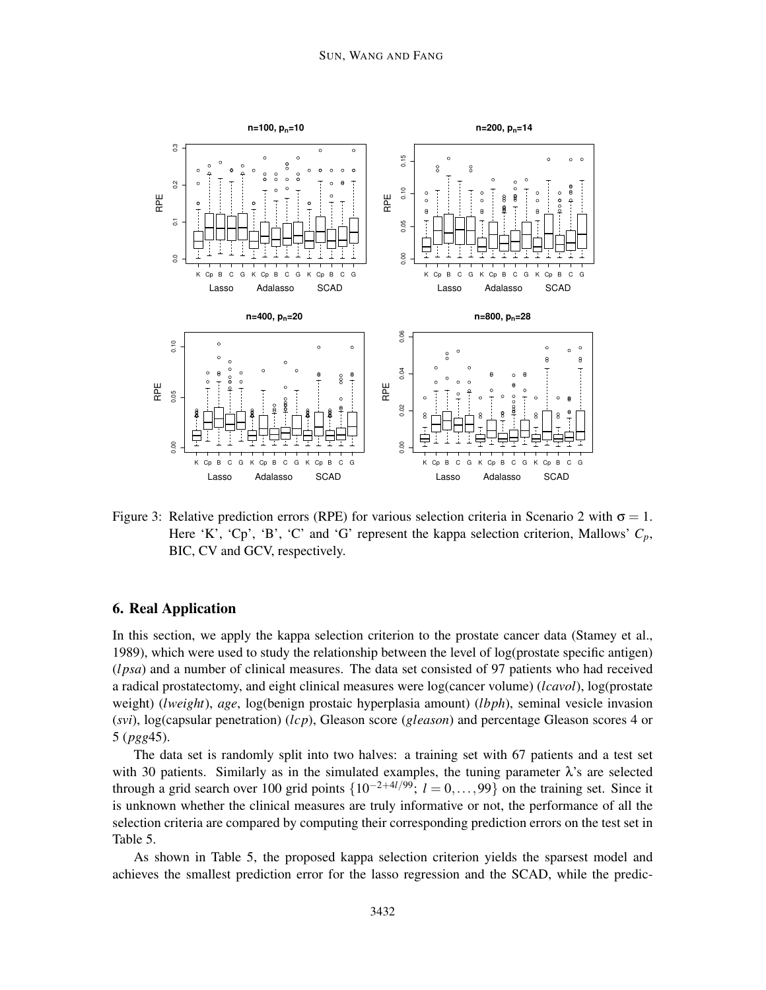

Figure 3: Relative prediction errors (RPE) for various selection criteria in Scenario 2 with  $\sigma = 1$ . Here 'K', 'Cp', 'B', 'C' and 'G' represent the kappa selection criterion, Mallows'  $C_p$ , BIC, CV and GCV, respectively.

## 6. Real Application

In this section, we apply the kappa selection criterion to the prostate cancer data (Stamey et al., 1989), which were used to study the relationship between the level of log(prostate specific antigen) (*l psa*) and a number of clinical measures. The data set consisted of 97 patients who had received a radical prostatectomy, and eight clinical measures were log(cancer volume) (*lcavol*), log(prostate weight) (*lweight*), *age*, log(benign prostaic hyperplasia amount) (*lbph*), seminal vesicle invasion (*svi*), log(capsular penetration) (*lcp*), Gleason score (*gleason*) and percentage Gleason scores 4 or 5 (*pgg*45).

The data set is randomly split into two halves: a training set with 67 patients and a test set with 30 patients. Similarly as in the simulated examples, the tuning parameter  $\lambda$ 's are selected through a grid search over 100 grid points  $\{10^{-2+4l/99}; l = 0, \ldots, 99\}$  on the training set. Since it is unknown whether the clinical measures are truly informative or not, the performance of all the selection criteria are compared by computing their corresponding prediction errors on the test set in Table 5.

As shown in Table 5, the proposed kappa selection criterion yields the sparsest model and achieves the smallest prediction error for the lasso regression and the SCAD, while the predic-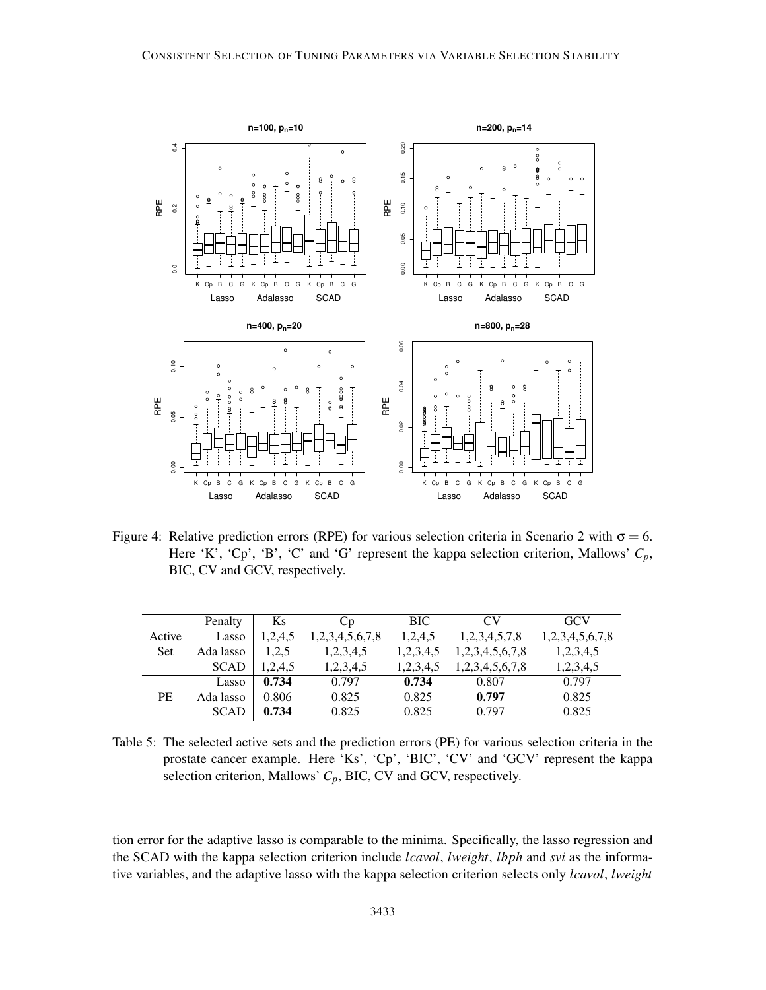

Figure 4: Relative prediction errors (RPE) for various selection criteria in Scenario 2 with  $\sigma = 6$ . Here 'K', 'Cp', 'B', 'C' and 'G' represent the kappa selection criterion, Mallows'  $C_p$ , BIC, CV and GCV, respectively.

|           | Penalty     | Ks      | Cр              | <b>BIC</b> | CV <sub></sub>      | GCV             |
|-----------|-------------|---------|-----------------|------------|---------------------|-----------------|
| Active    | Lasso       | 1,2,4,5 | 1,2,3,4,5,6,7,8 | 1,2,4,5    | 1, 2, 3, 4, 5, 7, 8 | 1,2,3,4,5,6,7,8 |
| Set       | Ada lasso   | 1,2,5   | 1,2,3,4,5       | 1,2,3,4,5  | 1,2,3,4,5,6,7,8     | 1,2,3,4,5       |
|           | <b>SCAD</b> | 1,2,4,5 | 1,2,3,4,5       | 1,2,3,4,5  | 1,2,3,4,5,6,7,8     | 1,2,3,4,5       |
|           | Lasso       | 0.734   | 0.797           | 0.734      | 0.807               | 0.797           |
| <b>PE</b> | Ada lasso   | 0.806   | 0.825           | 0.825      | 0.797               | 0.825           |
|           | <b>SCAD</b> | 0.734   | 0.825           | 0.825      | 0.797               | 0.825           |

Table 5: The selected active sets and the prediction errors (PE) for various selection criteria in the prostate cancer example. Here 'Ks', 'Cp', 'BIC', 'CV' and 'GCV' represent the kappa selection criterion, Mallows' *Cp*, BIC, CV and GCV, respectively.

tion error for the adaptive lasso is comparable to the minima. Specifically, the lasso regression and the SCAD with the kappa selection criterion include *lcavol*, *lweight*, *lbph* and *svi* as the informative variables, and the adaptive lasso with the kappa selection criterion selects only *lcavol*, *lweight*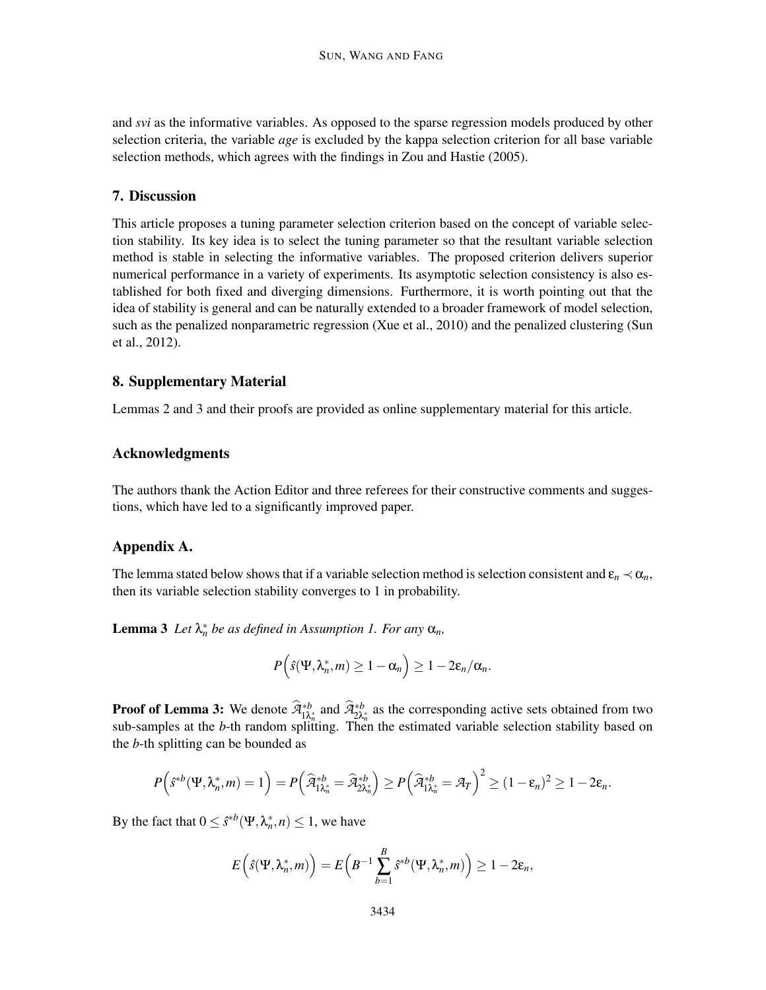and *svi* as the informative variables. As opposed to the sparse regression models produced by other selection criteria, the variable *age* is excluded by the kappa selection criterion for all base variable selection methods, which agrees with the findings in Zou and Hastie (2005).

## 7. Discussion

This article proposes a tuning parameter selection criterion based on the concept of variable selection stability. Its key idea is to select the tuning parameter so that the resultant variable selection method is stable in selecting the informative variables. The proposed criterion delivers superior numerical performance in a variety of experiments. Its asymptotic selection consistency is also established for both fixed and diverging dimensions. Furthermore, it is worth pointing out that the idea of stability is general and can be naturally extended to a broader framework of model selection, such as the penalized nonparametric regression (Xue et al., 2010) and the penalized clustering (Sun et al., 2012).

## 8. Supplementary Material

Lemmas 2 and 3 and their proofs are provided as online supplementary material for this article.

## Acknowledgments

The authors thank the Action Editor and three referees for their constructive comments and suggestions, which have led to a significantly improved paper.

## Appendix A.

The lemma stated below shows that if a variable selection method is selection consistent and  $\epsilon_n \prec \alpha_n$ , then its variable selection stability converges to 1 in probability.

**Lemma 3** Let  $\lambda_n^*$  be as defined in Assumption 1. For any  $\alpha_n$ ,

$$
P(\hat{s}(\Psi,\lambda_n^*,m)\geq 1-\alpha_n\Big)\geq 1-2\epsilon_n/\alpha_n.
$$

**Proof of Lemma 3:** We denote  $\widehat{A}_{1\lambda_n^*}^{*b}$  and  $\widehat{A}_{2\lambda_n^*}^{*b}$  as the corresponding active sets obtained from two sub-samples at the *b*-th random splitting. Then the estimated variable selection stability based on the *b*-th splitting can be bounded as

$$
P(\hat{s}^{*b}(\Psi,\lambda_n^*,m)=1)=P(\widehat{\mathcal{A}}_{1\lambda_n^*}^{*b}=\widehat{\mathcal{A}}_{2\lambda_n^*}^{*b})\geq P(\widehat{\mathcal{A}}_{1\lambda_n^*}^{*b}=\mathcal{A}_T)^2\geq (1-\epsilon_n)^2\geq 1-2\epsilon_n.
$$

By the fact that  $0 \leq \hat{s}^{*b}(\Psi, \lambda_n^*, n) \leq 1$ , we have

$$
E\left(\hat{s}(\Psi,\lambda_n^*,m)\right)=E\left(B^{-1}\sum_{b=1}^B\hat{s}^{*b}(\Psi,\lambda_n^*,m)\right)\geq 1-2\epsilon_n,
$$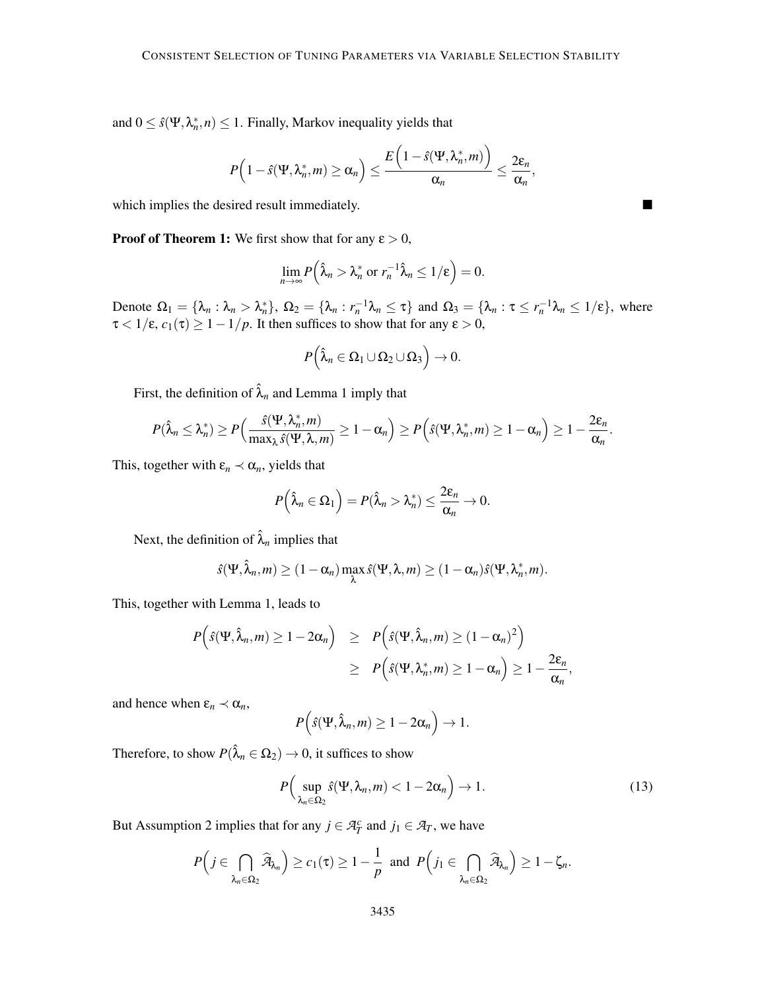and  $0 \leq \hat{s}(\Psi, \lambda_n^*, n) \leq 1$ . Finally, Markov inequality yields that

$$
P\Big(1-\hat{s}(\Psi,\lambda_n^*,m)\geq \alpha_n\Big)\leq \frac{E\Big(1-\hat{s}(\Psi,\lambda_n^*,m)\Big)}{\alpha_n}\leq \frac{2\epsilon_n}{\alpha_n},
$$

which implies the desired result immediately.

**Proof of Theorem 1:** We first show that for any  $\varepsilon > 0$ ,

$$
\lim_{n\to\infty}P\left(\hat{\lambda}_n>\lambda_n^*\text{ or }r_n^{-1}\hat{\lambda}_n\leq 1/\epsilon\right)=0.
$$

Denote  $\Omega_1 = {\lambda_n : \lambda_n > \lambda_n^*}$ ,  $\Omega_2 = {\lambda_n : r_n^{-1}\lambda_n \leq \tau}$  and  $\Omega_3 = {\lambda_n : \tau \leq r_n^{-1}\lambda_n \leq 1/\epsilon}$ , where  $\tau < 1/\epsilon$ ,  $c_1(\tau) \ge 1 - 1/p$ . It then suffices to show that for any  $\epsilon > 0$ ,

$$
P\Big(\hat{\lambda}_n\in\Omega_1\cup\Omega_2\cup\Omega_3\Big)\to 0.
$$

First, the definition of  $\hat{\lambda}_n$  and Lemma 1 imply that

$$
P(\hat{\lambda}_n \leq \lambda_n^*) \geq P\Big(\frac{\hat{s}(\Psi, \lambda_n^*, m)}{\max_{\lambda} \hat{s}(\Psi, \lambda, m)} \geq 1 - \alpha_n\Big) \geq P\Big(\hat{s}(\Psi, \lambda_n^*, m) \geq 1 - \alpha_n\Big) \geq 1 - \frac{2\epsilon_n}{\alpha_n}.
$$

This, together with  $\varepsilon_n \prec \alpha_n$ , yields that

$$
P\left(\hat{\lambda}_n \in \Omega_1\right) = P(\hat{\lambda}_n > \lambda_n^*) \leq \frac{2\epsilon_n}{\alpha_n} \to 0.
$$

Next, the definition of  $\hat{\lambda}_n$  implies that

$$
\hat{s}(\Psi,\hat{\lambda}_n,m)\geq (1-\alpha_n)\max_{\lambda}\hat{s}(\Psi,\lambda,m)\geq (1-\alpha_n)\hat{s}(\Psi,\lambda_n^*,m).
$$

This, together with Lemma 1, leads to

$$
P(\hat{s}(\Psi,\hat{\lambda}_n,m) \ge 1-2\alpha_n) \ge P(\hat{s}(\Psi,\hat{\lambda}_n,m) \ge (1-\alpha_n)^2)
$$
  
 
$$
\ge P(\hat{s}(\Psi,\lambda_n^*,m) \ge 1-\alpha_n) \ge 1-\frac{2\epsilon_n}{\alpha_n},
$$

and hence when  $\varepsilon_n \prec \alpha_n$ ,

$$
P(\hat{s}(\Psi,\hat{\lambda}_n,m)\geq 1-2\alpha_n\big)\to 1.
$$

Therefore, to show  $P(\hat{\lambda}_n \in \Omega_2) \to 0$ , it suffices to show

$$
P\Big(\sup_{\lambda_n\in\Omega_2}\hat{s}(\Psi,\lambda_n,m)<1-2\alpha_n\Big)\to 1.\tag{13}
$$

But Assumption 2 implies that for any  $j \in \mathcal{A}_T^c$  and  $j_1 \in \mathcal{A}_T$ , we have

$$
P\Big(j\in\bigcap_{\lambda_n\in\Omega_2}\widehat{\mathcal{A}}_{\lambda_n}\Big)\geq c_1(\tau)\geq 1-\frac{1}{p}\text{ and }P\Big(j_1\in\bigcap_{\lambda_n\in\Omega_2}\widehat{\mathcal{A}}_{\lambda_n}\Big)\geq 1-\zeta_n.
$$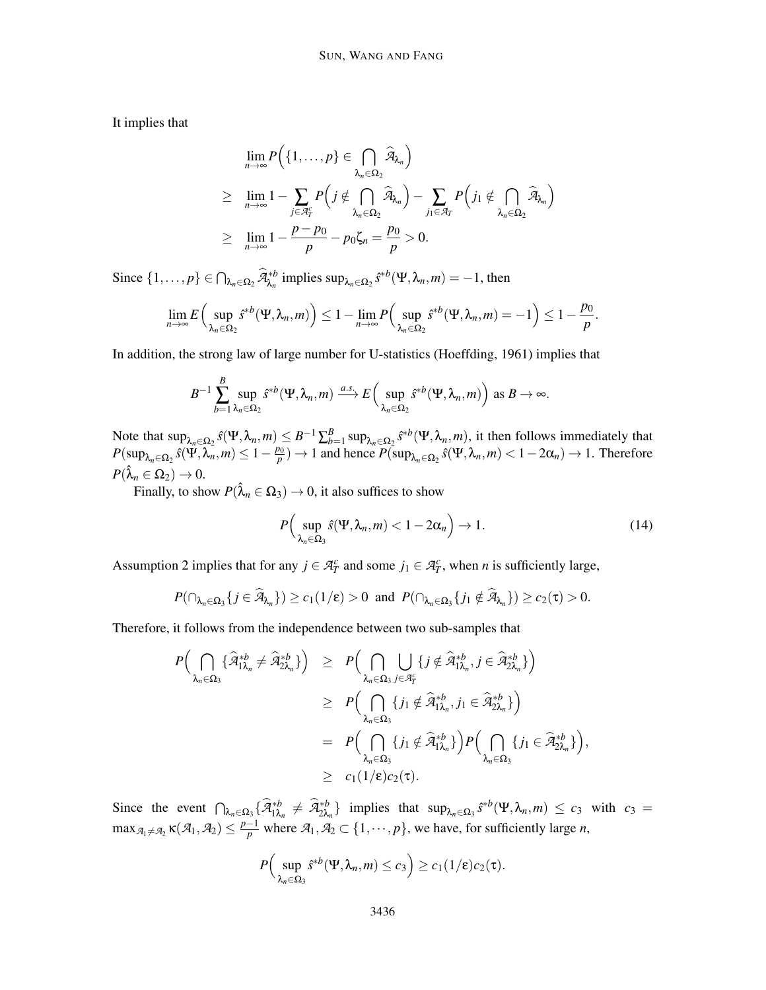It implies that

$$
\lim_{n\to\infty} P\Big(\{1,\ldots,p\} \in \bigcap_{\lambda_n \in \Omega_2} \widehat{A}_{\lambda_n}\Big) \n\geq \lim_{n\to\infty} 1 - \sum_{j \in \mathcal{A}_T^c} P\Big(j \notin \bigcap_{\lambda_n \in \Omega_2} \widehat{A}_{\lambda_n}\Big) - \sum_{j_1 \in \mathcal{A}_T} P\Big(j_1 \notin \bigcap_{\lambda_n \in \Omega_2} \widehat{A}_{\lambda_n}\Big) \n\geq \lim_{n\to\infty} 1 - \frac{p - p_0}{p} - p_0 \zeta_n = \frac{p_0}{p} > 0.
$$

Since  $\{1,\ldots,p\} \in \bigcap_{\lambda_n \in \Omega_2} \widehat{A}_{\lambda_n}^{*b}$  implies  $\sup_{\lambda_n \in \Omega_2} \widehat{s}^{*b}(\Psi, \lambda_n, m) = -1$ , then

$$
\lim_{n\to\infty} E\Big(\sup_{\lambda_n\in\Omega_2} \hat{s}^{*b}(\Psi,\lambda_n,m)\Big)\leq 1-\lim_{n\to\infty} P\Big(\sup_{\lambda_n\in\Omega_2} \hat{s}^{*b}(\Psi,\lambda_n,m)=-1\Big)\leq 1-\frac{p_0}{p}.
$$

In addition, the strong law of large number for U-statistics (Hoeffding, 1961) implies that

$$
B^{-1}\sum_{b=1}^B\sup_{\lambda_n\in\Omega_2}\hat{s}^{\ast b}(\Psi,\lambda_n,m)\xrightarrow{a.s.}E\Big(\sup_{\lambda_n\in\Omega_2}\hat{s}^{\ast b}(\Psi,\lambda_n,m)\Big)\text{ as }B\to\infty.
$$

Note that  $\sup_{\lambda_n \in \Omega_2} \hat{s}(\Psi, \lambda_n, m) \leq B^{-1} \sum_{b=1}^B \sup_{\lambda_n \in \Omega_2} \hat{s}^{*b}(\Psi, \lambda_n, m)$ , it then follows immediately that  $P(\sup_{\lambda_n \in \Omega_2} \hat{s}(\Psi, \lambda_n, m) \le 1 - \frac{p_0}{p}) \to 1$  and hence  $P(\sup_{\lambda_n \in \Omega_2} \hat{s}(\Psi, \lambda_n, m) < 1 - 2\alpha_n) \to 1$ . Therefore  $P(\hat{\lambda}_n \in \Omega_2) \to 0.$ 

Finally, to show  $P(\hat{\lambda}_n \in \Omega_3) \to 0$ , it also suffices to show

$$
P\Big(\sup_{\lambda_n\in\Omega_3}\hat{s}(\Psi,\lambda_n,m)<1-2\alpha_n\Big)\to 1.\tag{14}
$$

Assumption 2 implies that for any  $j \in \mathcal{A}_T^c$  and some  $j_1 \in \mathcal{A}_T^c$ , when *n* is sufficiently large,

$$
P(\cap_{\lambda_n\in\Omega_3}\{j\in\widehat{\mathcal{A}}_{\lambda_n}\})\geq c_1(1/\epsilon)>0\ \ \text{and}\ \ P(\cap_{\lambda_n\in\Omega_3}\{j_1\notin\widehat{\mathcal{A}}_{\lambda_n}\})\geq c_2(\tau)>0.
$$

Therefore, it follows from the independence between two sub-samples that

$$
P\Big(\bigcap_{\lambda_n\in\Omega_3}\{\widehat{\mathcal{A}}_{1\lambda_n}^{*b}\neq\widehat{\mathcal{A}}_{2\lambda_n}^{*b}\}\Big) \geq P\Big(\bigcap_{\lambda_n\in\Omega_3}\bigcup_{j\in\mathcal{A}_I^c}\{j\notin\widehat{\mathcal{A}}_{1\lambda_n}^{*b}, j\in\widehat{\mathcal{A}}_{2\lambda_n}^{*b}\}\Big) \geq P\Big(\bigcap_{\lambda_n\in\Omega_3}\{j_1\notin\widehat{\mathcal{A}}_{1\lambda_n}^{*b}, j_1\in\widehat{\mathcal{A}}_{2\lambda_n}^{*b}\}\Big) = P\Big(\bigcap_{\lambda_n\in\Omega_3}\{j_1\notin\widehat{\mathcal{A}}_{1\lambda_n}^{*b}\}\Big)P\Big(\bigcap_{\lambda_n\in\Omega_3}\{j_1\in\widehat{\mathcal{A}}_{2\lambda_n}^{*b}\}\Big), \geq c_1(1/\epsilon)c_2(\tau).
$$

Since the event  $\bigcap_{\lambda_n \in \Omega_3} {\{\hat{\mathcal{A}}_{1\lambda_n}^{*b} \neq \hat{\mathcal{A}}_{2\lambda_n}^{*b}\}}$  implies that  $\sup_{\lambda_n \in \Omega_3} {\hat{s}}^{*b}(\Psi, \lambda_n, m) \le c_3$  with  $c_3 =$  $\max_{\mathcal{A}_1 \neq \mathcal{A}_2} \kappa(\mathcal{A}_1, \mathcal{A}_2) \leq \frac{p-1}{p}$  where  $\mathcal{A}_1, \mathcal{A}_2 \subset \{1, \cdots, p\}$ , we have, for sufficiently large *n*,

$$
P\Big(\sup_{\lambda_n\in\Omega_3}\delta^{*b}(\Psi,\lambda_n,m)\leq c_3\Big)\geq c_1(1/\epsilon)c_2(\tau).
$$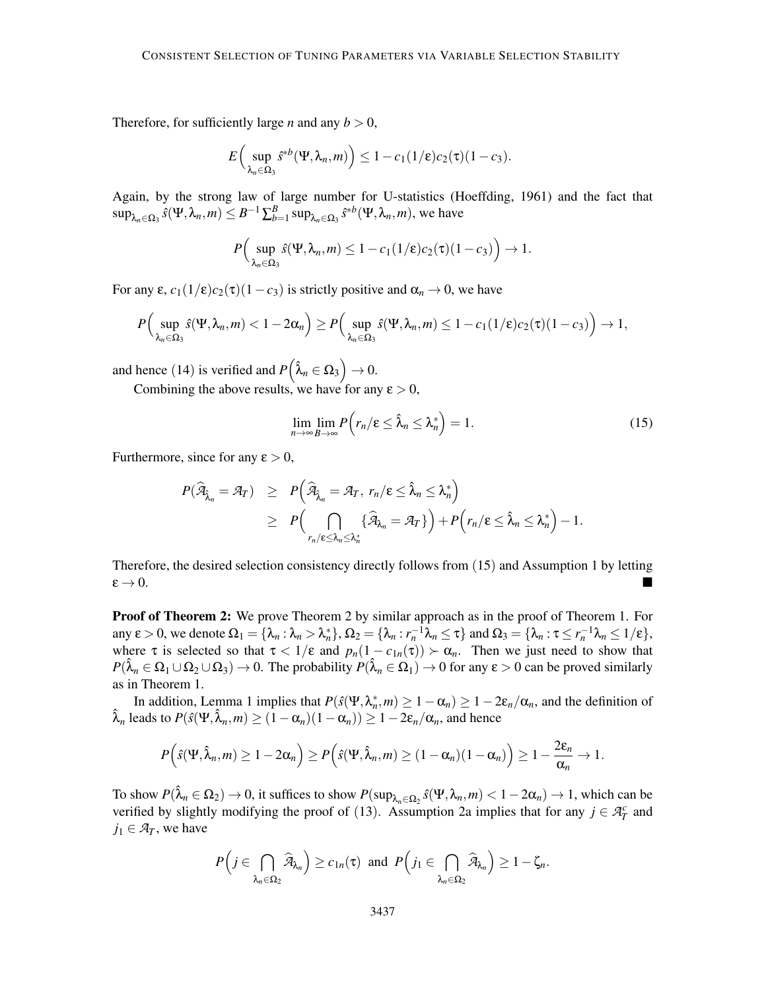Therefore, for sufficiently large *n* and any  $b > 0$ ,

$$
E\left(\sup_{\lambda_n\in\Omega_3} \delta^{*b}(\Psi, \lambda_n, m)\right) \leq 1 - c_1(1/\epsilon)c_2(\tau)(1-c_3).
$$

Again, by the strong law of large number for U-statistics (Hoeffding, 1961) and the fact that  $\sup_{\lambda_n \in \Omega_3} \hat{s}(\Psi, \lambda_n, m) \leq B^{-1} \sum_{b=1}^B \sup_{\lambda_n \in \Omega_3} \hat{s}^{*b}(\Psi, \lambda_n, m)$ , we have

$$
P\Big(\sup_{\lambda_n\in\Omega_3}\hat{s}(\Psi,\lambda_n,m)\leq 1-c_1(1/\epsilon)c_2(\tau)(1-c_3)\Big)\to 1.
$$

For any  $\varepsilon$ ,  $c_1(1/\varepsilon)c_2(\tau)(1-c_3)$  is strictly positive and  $\alpha_n \to 0$ , we have

$$
P\Big(\sup_{\lambda_n\in\Omega_3}\hat{s}(\Psi,\lambda_n,m)<1-2\alpha_n\Big)\geq P\Big(\sup_{\lambda_n\in\Omega_3}\hat{s}(\Psi,\lambda_n,m)\leq 1-c_1(1/\epsilon)c_2(\tau)(1-c_3)\Big)\rightarrow 1,
$$

and hence (14) is verified and  $P(\hat{\lambda}_n \in \Omega_3) \to 0$ .

Combining the above results, we have for any  $\varepsilon > 0$ ,

$$
\lim_{n \to \infty} \lim_{B \to \infty} P(r_n/\varepsilon \le \hat{\lambda}_n \le \lambda_n^*) = 1.
$$
\n(15)

Furthermore, since for any  $\varepsilon > 0$ ,

$$
P(\widehat{\mathcal{A}}_{\widehat{\lambda}_n} = \mathcal{A}_T) \ge P\left(\widehat{\mathcal{A}}_{\widehat{\lambda}_n} = \mathcal{A}_T, r_n/\epsilon \le \widehat{\lambda}_n \le \lambda_n^*\right)
$$
  
\n
$$
\ge P\left(\bigcap_{r_n/\epsilon \le \lambda_n \le \lambda_n^*} \{\widehat{\mathcal{A}}_{\lambda_n} = \mathcal{A}_T\}\right) + P\left(r_n/\epsilon \le \widehat{\lambda}_n \le \lambda_n^*\right) - 1.
$$

Therefore, the desired selection consistency directly follows from (15) and Assumption 1 by letting  $\varepsilon \to 0$ .

**Proof of Theorem 2:** We prove Theorem 2 by similar approach as in the proof of Theorem 1. For any  $\varepsilon > 0$ , we denote  $\Omega_1 = {\lambda_n : \lambda_n > \lambda_n^*}, \Omega_2 = {\lambda_n : r_n^{-1}\lambda_n \leq \tau}$  and  $\Omega_3 = {\lambda_n : \tau \leq r_n^{-1}\lambda_n \leq 1/\epsilon},$ where  $\tau$  is selected so that  $\tau < 1/\epsilon$  and  $p_n(1 - c_{1n}(\tau)) > \alpha_n$ . Then we just need to show that  $P(\hat{\lambda}_n \in \Omega_1 \cup \Omega_2 \cup \Omega_3) \to 0$ . The probability  $P(\hat{\lambda}_n \in \Omega_1) \to 0$  for any  $\varepsilon > 0$  can be proved similarly as in Theorem 1.

In addition, Lemma 1 implies that  $P(\hat{s}(\Psi, \lambda_n^*, m) \ge 1 - \alpha_n) \ge 1 - 2\varepsilon_n/\alpha_n$ , and the definition of  $\hat{\lambda}_n$  leads to  $P(\hat{s}(\Psi, \hat{\lambda}_n, m) \ge (1 - \alpha_n)(1 - \alpha_n)) \ge 1 - 2\varepsilon_n/\alpha_n$ , and hence

$$
P(\hat{s}(\Psi,\hat{\lambda}_n,m)\geq 1-2\alpha_n)=P(\hat{s}(\Psi,\hat{\lambda}_n,m)\geq (1-\alpha_n)(1-\alpha_n)\geq 1-\frac{2\epsilon_n}{\alpha_n}\to 1.
$$

To show  $P(\hat{\lambda}_n \in \Omega_2) \to 0$ , it suffices to show  $P(\sup_{\lambda_n \in \Omega_2} \hat{s}(\Psi, \lambda_n, m) < 1 - 2\alpha_n) \to 1$ , which can be verified by slightly modifying the proof of (13). Assumption 2a implies that for any  $j \in \mathcal{A}_T^c$  and  $j_1 \in \mathcal{A}_T$ , we have

$$
P\Big(j\in\bigcap_{\lambda_n\in\Omega_2}\widehat{\mathcal{A}}_{\lambda_n}\Big)\geq c_{1n}(\tau)\ \ \text{and}\ \ P\Big(j_1\in\bigcap_{\lambda_n\in\Omega_2}\widehat{\mathcal{A}}_{\lambda_n}\Big)\geq 1-\zeta_n.
$$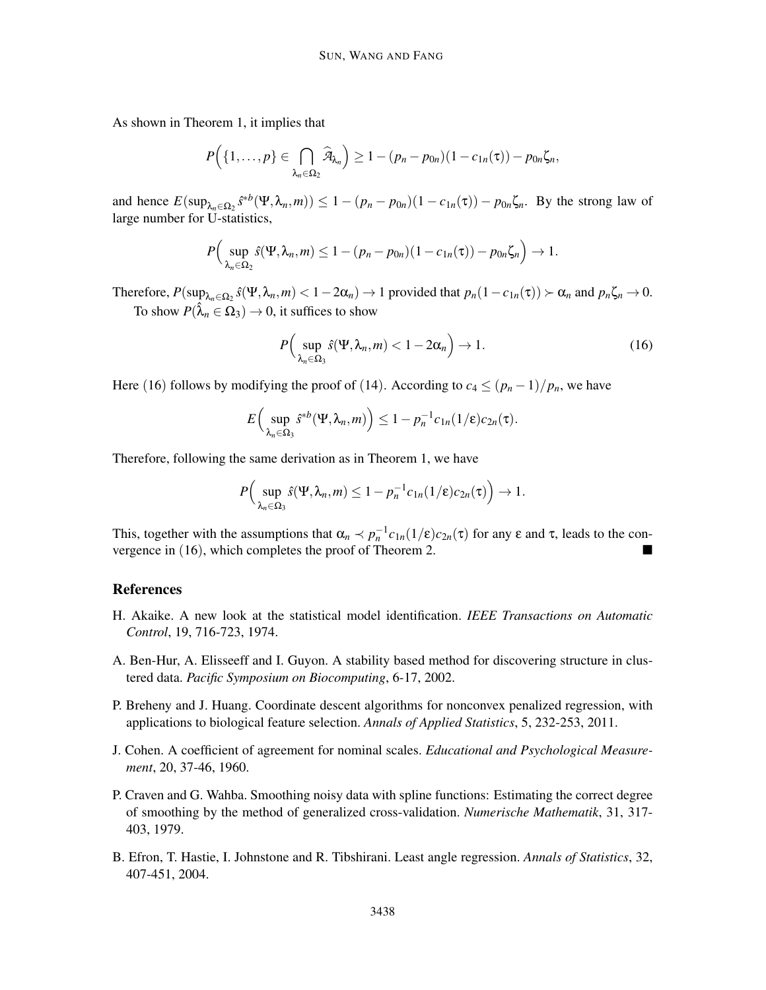As shown in Theorem 1, it implies that

$$
P\Big(\{1,\ldots,p\}\in\bigcap_{\lambda_n\in\Omega_2}\widehat{\mathcal{A}}_{\lambda_n}\Big)\geq 1-(p_n-p_{0n})(1-c_{1n}(\tau))-p_{0n}\zeta_n,
$$

and hence  $E(\sup_{\lambda_n \in \Omega_2} \hat{s}^* b(\Psi, \lambda_n, m)) \le 1 - (p_n - p_{0n})(1 - c_{1n}(\tau)) - p_{0n} \zeta_n$ . By the strong law of large number for U-statistics,

$$
P\Big(\sup_{\lambda_n\in\Omega_2}\hat{s}(\Psi,\lambda_n,m)\leq 1-(p_n-p_{0n})(1-c_{1n}(\tau))-p_{0n}\zeta_n\Big)\to 1.
$$

Therefore,  $P(\sup_{\lambda_n \in \Omega_2} \hat{s}(\Psi, \lambda_n, m) < 1 - 2\alpha_n) \to 1$  provided that  $p_n(1 - c_{1n}(\tau)) > \alpha_n$  and  $p_n\zeta_n \to 0$ . To show  $P(\hat{\lambda}_n \in \Omega_3) \to 0$ , it suffices to show

$$
P\Big(\sup_{\lambda_n\in\Omega_3}\hat{s}(\Psi,\lambda_n,m)<1-2\alpha_n\Big)\to 1.\tag{16}
$$

Here (16) follows by modifying the proof of (14). According to  $c_4 \le (p_n-1)/p_n$ , we have

$$
E\left(\sup_{\lambda_n\in\Omega_3}\hat{s}^{\ast b}(\Psi,\lambda_n,m)\right)\leq 1-p_n^{-1}c_{1n}(1/\epsilon)c_{2n}(\tau).
$$

Therefore, following the same derivation as in Theorem 1, we have

$$
P\Big(\sup_{\lambda_n\in\Omega_3}\hat{s}(\Psi,\lambda_n,m)\leq 1-p_n^{-1}c_{1n}(1/\epsilon)c_{2n}(\tau)\Big)\to 1.
$$

This, together with the assumptions that  $\alpha_n \prec p_n^{-1}c_{1n}(1/\epsilon)c_{2n}(\tau)$  for any  $\epsilon$  and  $\tau$ , leads to the convergence in (16), which completes the proof of Theorem 2.

#### References

- H. Akaike. A new look at the statistical model identification. *IEEE Transactions on Automatic Control*, 19, 716-723, 1974.
- A. Ben-Hur, A. Elisseeff and I. Guyon. A stability based method for discovering structure in clustered data. *Pacific Symposium on Biocomputing*, 6-17, 2002.
- P. Breheny and J. Huang. Coordinate descent algorithms for nonconvex penalized regression, with applications to biological feature selection. *Annals of Applied Statistics*, 5, 232-253, 2011.
- J. Cohen. A coefficient of agreement for nominal scales. *Educational and Psychological Measurement*, 20, 37-46, 1960.
- P. Craven and G. Wahba. Smoothing noisy data with spline functions: Estimating the correct degree of smoothing by the method of generalized cross-validation. *Numerische Mathematik*, 31, 317- 403, 1979.
- B. Efron, T. Hastie, I. Johnstone and R. Tibshirani. Least angle regression. *Annals of Statistics*, 32, 407-451, 2004.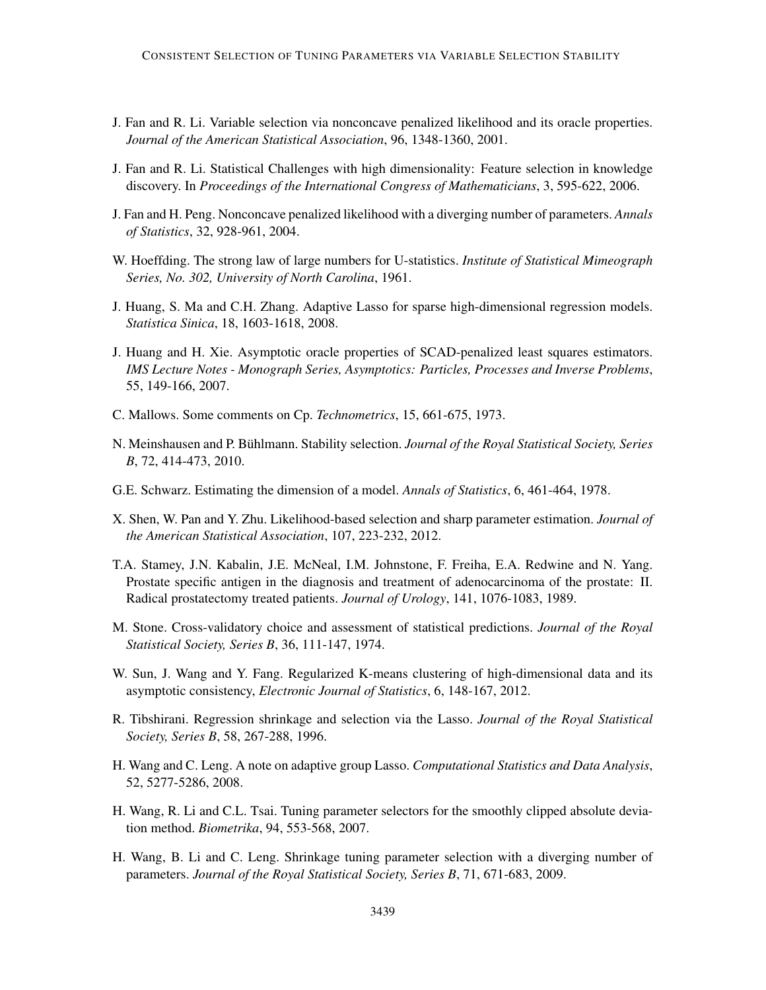- J. Fan and R. Li. Variable selection via nonconcave penalized likelihood and its oracle properties. *Journal of the American Statistical Association*, 96, 1348-1360, 2001.
- J. Fan and R. Li. Statistical Challenges with high dimensionality: Feature selection in knowledge discovery. In *Proceedings of the International Congress of Mathematicians*, 3, 595-622, 2006.
- J. Fan and H. Peng. Nonconcave penalized likelihood with a diverging number of parameters. *Annals of Statistics*, 32, 928-961, 2004.
- W. Hoeffding. The strong law of large numbers for U-statistics. *Institute of Statistical Mimeograph Series, No. 302, University of North Carolina*, 1961.
- J. Huang, S. Ma and C.H. Zhang. Adaptive Lasso for sparse high-dimensional regression models. *Statistica Sinica*, 18, 1603-1618, 2008.
- J. Huang and H. Xie. Asymptotic oracle properties of SCAD-penalized least squares estimators. *IMS Lecture Notes - Monograph Series, Asymptotics: Particles, Processes and Inverse Problems*, 55, 149-166, 2007.
- C. Mallows. Some comments on Cp. *Technometrics*, 15, 661-675, 1973.
- N. Meinshausen and P. Bühlmann. Stability selection. *Journal of the Royal Statistical Society, Series B*, 72, 414-473, 2010.
- G.E. Schwarz. Estimating the dimension of a model. *Annals of Statistics*, 6, 461-464, 1978.
- X. Shen, W. Pan and Y. Zhu. Likelihood-based selection and sharp parameter estimation. *Journal of the American Statistical Association*, 107, 223-232, 2012.
- T.A. Stamey, J.N. Kabalin, J.E. McNeal, I.M. Johnstone, F. Freiha, E.A. Redwine and N. Yang. Prostate specific antigen in the diagnosis and treatment of adenocarcinoma of the prostate: II. Radical prostatectomy treated patients. *Journal of Urology*, 141, 1076-1083, 1989.
- M. Stone. Cross-validatory choice and assessment of statistical predictions. *Journal of the Royal Statistical Society, Series B*, 36, 111-147, 1974.
- W. Sun, J. Wang and Y. Fang. Regularized K-means clustering of high-dimensional data and its asymptotic consistency, *Electronic Journal of Statistics*, 6, 148-167, 2012.
- R. Tibshirani. Regression shrinkage and selection via the Lasso. *Journal of the Royal Statistical Society, Series B*, 58, 267-288, 1996.
- H. Wang and C. Leng. A note on adaptive group Lasso. *Computational Statistics and Data Analysis*, 52, 5277-5286, 2008.
- H. Wang, R. Li and C.L. Tsai. Tuning parameter selectors for the smoothly clipped absolute deviation method. *Biometrika*, 94, 553-568, 2007.
- H. Wang, B. Li and C. Leng. Shrinkage tuning parameter selection with a diverging number of parameters. *Journal of the Royal Statistical Society, Series B*, 71, 671-683, 2009.